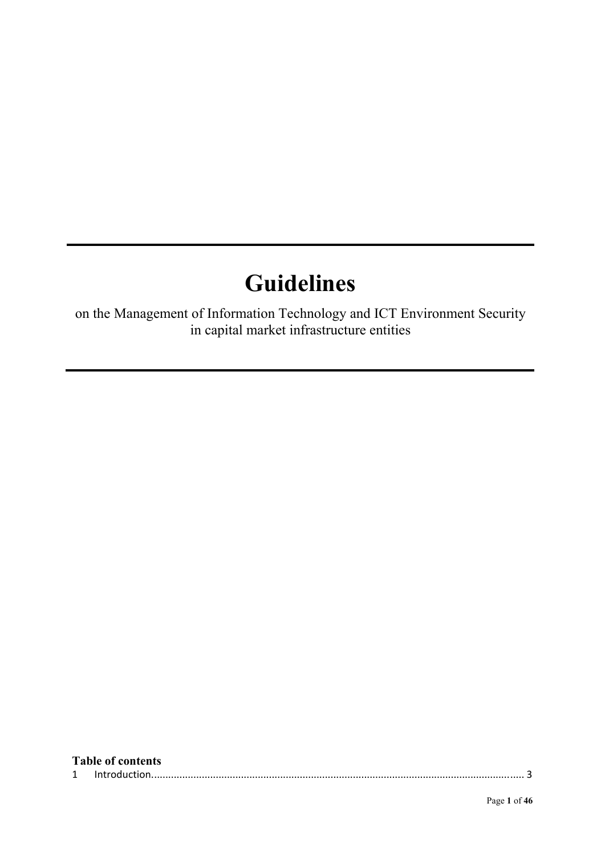# **Guidelines**

on the Management of Information Technology and ICT Environment Security in capital market infrastructure entities

# **Table of contents**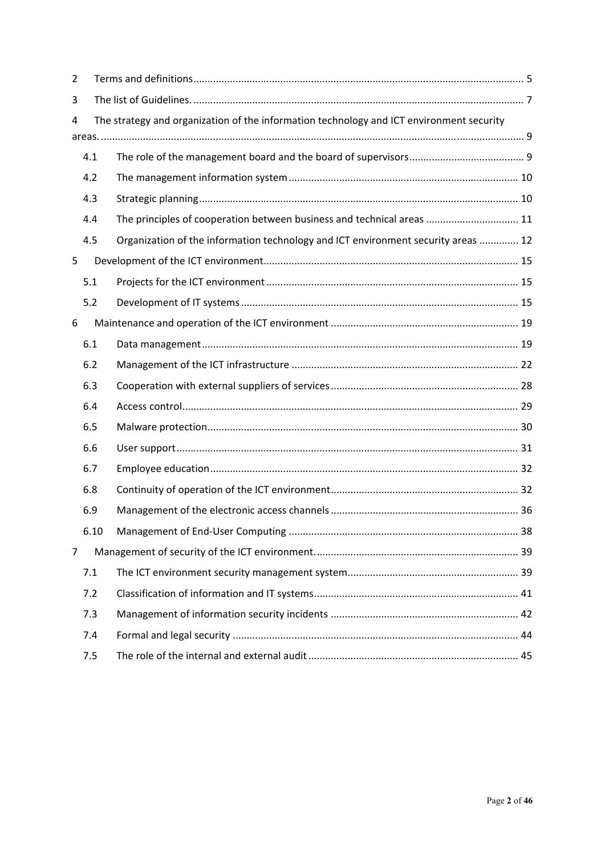| $\overline{2}$ |      |                                                                                          |  |
|----------------|------|------------------------------------------------------------------------------------------|--|
| 3              |      |                                                                                          |  |
| 4              |      | The strategy and organization of the information technology and ICT environment security |  |
|                | 4.1  |                                                                                          |  |
|                | 4.2  |                                                                                          |  |
|                | 4.3  |                                                                                          |  |
|                | 4.4  | The principles of cooperation between business and technical areas  11                   |  |
|                | 4.5  | Organization of the information technology and ICT environment security areas  12        |  |
| 5              |      |                                                                                          |  |
|                | 5.1  |                                                                                          |  |
|                | 5.2  |                                                                                          |  |
| 6              |      |                                                                                          |  |
|                | 6.1  |                                                                                          |  |
|                | 6.2  |                                                                                          |  |
|                | 6.3  |                                                                                          |  |
|                | 6.4  |                                                                                          |  |
|                | 6.5  |                                                                                          |  |
|                | 6.6  |                                                                                          |  |
|                | 6.7  |                                                                                          |  |
|                | 6.8  |                                                                                          |  |
|                | 6.9  |                                                                                          |  |
|                | 6.10 |                                                                                          |  |
| 7              |      |                                                                                          |  |
|                | 7.1  |                                                                                          |  |
|                | 7.2  |                                                                                          |  |
|                | 7.3  |                                                                                          |  |
|                | 7.4  |                                                                                          |  |
|                | 7.5  |                                                                                          |  |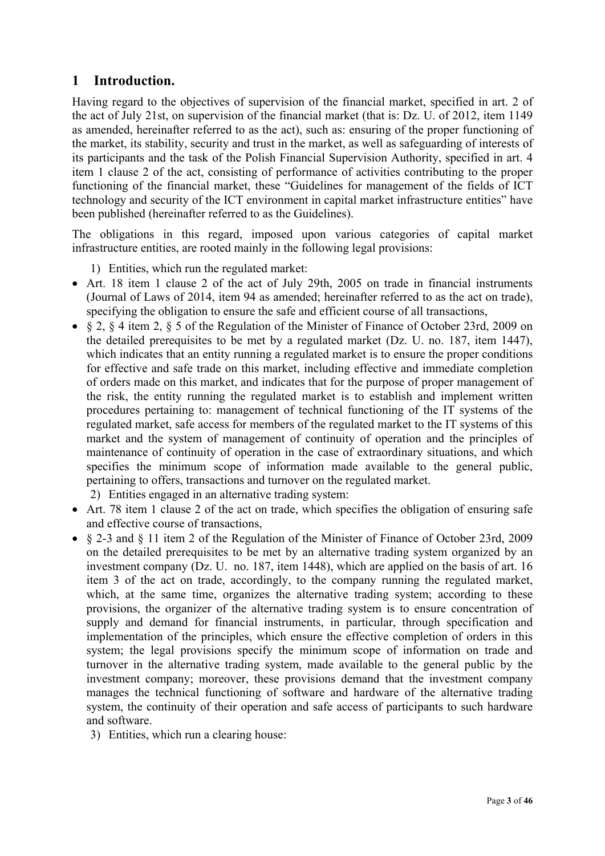# **1 Introduction.**

Having regard to the objectives of supervision of the financial market, specified in art. 2 of the act of July 21st, on supervision of the financial market (that is: Dz. U. of 2012, item 1149 as amended, hereinafter referred to as the act), such as: ensuring of the proper functioning of the market, its stability, security and trust in the market, as well as safeguarding of interests of its participants and the task of the Polish Financial Supervision Authority, specified in art. 4 item 1 clause 2 of the act, consisting of performance of activities contributing to the proper functioning of the financial market, these "Guidelines for management of the fields of ICT technology and security of the ICT environment in capital market infrastructure entities" have been published (hereinafter referred to as the Guidelines).

The obligations in this regard, imposed upon various categories of capital market infrastructure entities, are rooted mainly in the following legal provisions:

- 1) Entities, which run the regulated market:
- Art. 18 item 1 clause 2 of the act of July 29th, 2005 on trade in financial instruments (Journal of Laws of 2014, item 94 as amended; hereinafter referred to as the act on trade), specifying the obligation to ensure the safe and efficient course of all transactions,
- § 2, § 4 item 2, § 5 of the Regulation of the Minister of Finance of October 23rd, 2009 on the detailed prerequisites to be met by a regulated market (Dz. U. no. 187, item 1447), which indicates that an entity running a regulated market is to ensure the proper conditions for effective and safe trade on this market, including effective and immediate completion of orders made on this market, and indicates that for the purpose of proper management of the risk, the entity running the regulated market is to establish and implement written procedures pertaining to: management of technical functioning of the IT systems of the regulated market, safe access for members of the regulated market to the IT systems of this market and the system of management of continuity of operation and the principles of maintenance of continuity of operation in the case of extraordinary situations, and which specifies the minimum scope of information made available to the general public, pertaining to offers, transactions and turnover on the regulated market.

2) Entities engaged in an alternative trading system:

- Art. 78 item 1 clause 2 of the act on trade, which specifies the obligation of ensuring safe and effective course of transactions,
- § 2-3 and § 11 item 2 of the Regulation of the Minister of Finance of October 23rd, 2009 on the detailed prerequisites to be met by an alternative trading system organized by an investment company (Dz. U. no. 187, item 1448), which are applied on the basis of art. 16 item 3 of the act on trade, accordingly, to the company running the regulated market, which, at the same time, organizes the alternative trading system; according to these provisions, the organizer of the alternative trading system is to ensure concentration of supply and demand for financial instruments, in particular, through specification and implementation of the principles, which ensure the effective completion of orders in this system; the legal provisions specify the minimum scope of information on trade and turnover in the alternative trading system, made available to the general public by the investment company; moreover, these provisions demand that the investment company manages the technical functioning of software and hardware of the alternative trading system, the continuity of their operation and safe access of participants to such hardware and software.
	- 3) Entities, which run a clearing house: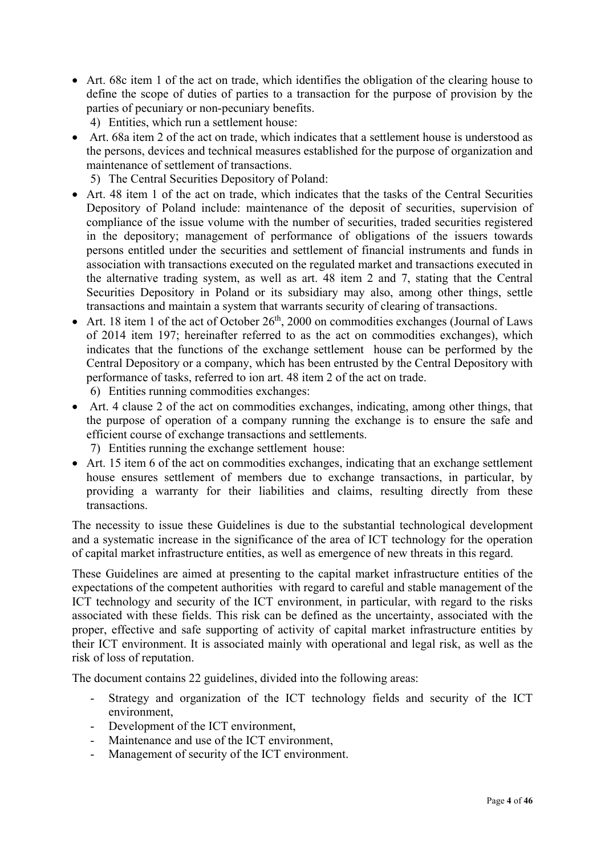- Art. 68c item 1 of the act on trade, which identifies the obligation of the clearing house to define the scope of duties of parties to a transaction for the purpose of provision by the parties of pecuniary or non-pecuniary benefits.
	- 4) Entities, which run a settlement house:
- Art. 68a item 2 of the act on trade, which indicates that a settlement house is understood as the persons, devices and technical measures established for the purpose of organization and maintenance of settlement of transactions.
	- 5) The Central Securities Depository of Poland:
- Art. 48 item 1 of the act on trade, which indicates that the tasks of the Central Securities Depository of Poland include: maintenance of the deposit of securities, supervision of compliance of the issue volume with the number of securities, traded securities registered in the depository; management of performance of obligations of the issuers towards persons entitled under the securities and settlement of financial instruments and funds in association with transactions executed on the regulated market and transactions executed in the alternative trading system, as well as art. 48 item 2 and 7, stating that the Central Securities Depository in Poland or its subsidiary may also, among other things, settle transactions and maintain a system that warrants security of clearing of transactions.
- Art. 18 item 1 of the act of October  $26<sup>th</sup>$ , 2000 on commodities exchanges (Journal of Laws of 2014 item 197; hereinafter referred to as the act on commodities exchanges), which indicates that the functions of the exchange settlement house can be performed by the Central Depository or a company, which has been entrusted by the Central Depository with performance of tasks, referred to ion art. 48 item 2 of the act on trade.
	- 6) Entities running commodities exchanges:
- Art. 4 clause 2 of the act on commodities exchanges, indicating, among other things, that the purpose of operation of a company running the exchange is to ensure the safe and efficient course of exchange transactions and settlements.
	- 7) Entities running the exchange settlement house:
- Art. 15 item 6 of the act on commodities exchanges, indicating that an exchange settlement house ensures settlement of members due to exchange transactions, in particular, by providing a warranty for their liabilities and claims, resulting directly from these transactions.

The necessity to issue these Guidelines is due to the substantial technological development and a systematic increase in the significance of the area of ICT technology for the operation of capital market infrastructure entities, as well as emergence of new threats in this regard.

These Guidelines are aimed at presenting to the capital market infrastructure entities of the expectations of the competent authorities with regard to careful and stable management of the ICT technology and security of the ICT environment, in particular, with regard to the risks associated with these fields. This risk can be defined as the uncertainty, associated with the proper, effective and safe supporting of activity of capital market infrastructure entities by their ICT environment. It is associated mainly with operational and legal risk, as well as the risk of loss of reputation.

The document contains 22 guidelines, divided into the following areas:

- Strategy and organization of the ICT technology fields and security of the ICT environment,
- Development of the ICT environment,
- Maintenance and use of the ICT environment,
- Management of security of the ICT environment.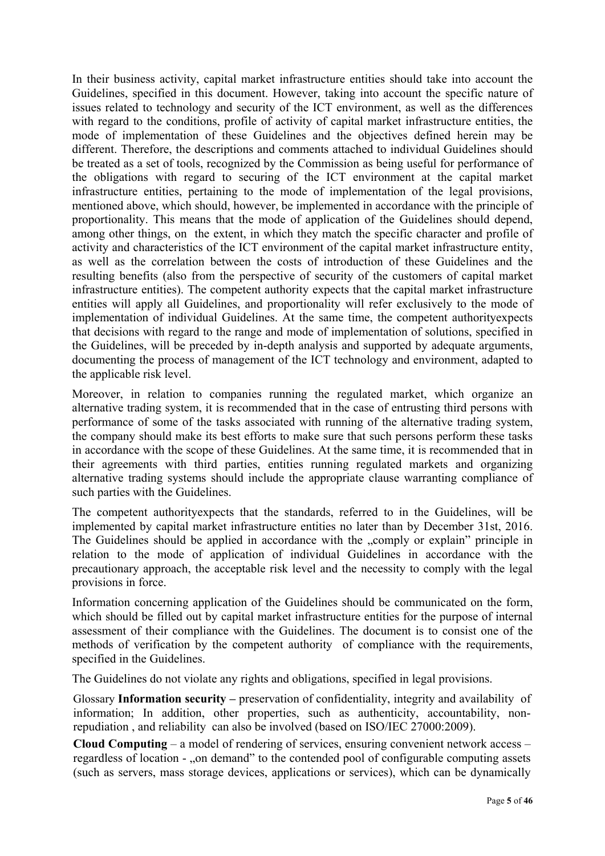In their business activity, capital market infrastructure entities should take into account the Guidelines, specified in this document. However, taking into account the specific nature of issues related to technology and security of the ICT environment, as well as the differences with regard to the conditions, profile of activity of capital market infrastructure entities, the mode of implementation of these Guidelines and the objectives defined herein may be different. Therefore, the descriptions and comments attached to individual Guidelines should be treated as a set of tools, recognized by the Commission as being useful for performance of the obligations with regard to securing of the ICT environment at the capital market infrastructure entities, pertaining to the mode of implementation of the legal provisions, mentioned above, which should, however, be implemented in accordance with the principle of proportionality. This means that the mode of application of the Guidelines should depend, among other things, on the extent, in which they match the specific character and profile of activity and characteristics of the ICT environment of the capital market infrastructure entity, as well as the correlation between the costs of introduction of these Guidelines and the resulting benefits (also from the perspective of security of the customers of capital market infrastructure entities). The competent authority expects that the capital market infrastructure entities will apply all Guidelines, and proportionality will refer exclusively to the mode of implementation of individual Guidelines. At the same time, the competent authorityexpects that decisions with regard to the range and mode of implementation of solutions, specified in the Guidelines, will be preceded by in-depth analysis and supported by adequate arguments, documenting the process of management of the ICT technology and environment, adapted to the applicable risk level.

Moreover, in relation to companies running the regulated market, which organize an alternative trading system, it is recommended that in the case of entrusting third persons with performance of some of the tasks associated with running of the alternative trading system, the company should make its best efforts to make sure that such persons perform these tasks in accordance with the scope of these Guidelines. At the same time, it is recommended that in their agreements with third parties, entities running regulated markets and organizing alternative trading systems should include the appropriate clause warranting compliance of such parties with the Guidelines.

The competent authorityexpects that the standards, referred to in the Guidelines, will be implemented by capital market infrastructure entities no later than by December 31st, 2016. The Guidelines should be applied in accordance with the ...comply or explain" principle in relation to the mode of application of individual Guidelines in accordance with the precautionary approach, the acceptable risk level and the necessity to comply with the legal provisions in force.

Information concerning application of the Guidelines should be communicated on the form, which should be filled out by capital market infrastructure entities for the purpose of internal assessment of their compliance with the Guidelines. The document is to consist one of the methods of verification by the competent authority of compliance with the requirements, specified in the Guidelines.

The Guidelines do not violate any rights and obligations, specified in legal provisions.

Glossary **Information security –** preservation of confidentiality, integrity and availability of information; In addition, other properties, such as authenticity, accountability, nonrepudiation , and reliability can also be involved (based on ISO/IEC 27000:2009).

**Cloud Computing** – a model of rendering of services, ensuring convenient network access – regardless of location - "on demand" to the contended pool of configurable computing assets (such as servers, mass storage devices, applications or services), which can be dynamically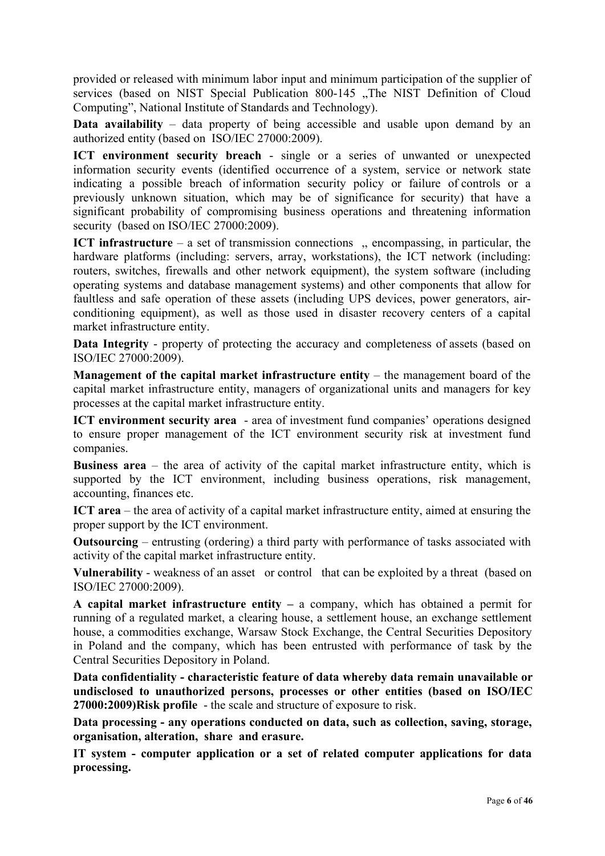provided or released with minimum labor input and minimum participation of the supplier of services (based on NIST Special Publication 800-145 "The NIST Definition of Cloud Computing", National Institute of Standards and Technology).

**Data availability** – data property of being accessible and usable upon demand by an authorized entity (based on ISO/IEC 27000:2009).

**ICT environment security breach** - single or a series of unwanted or unexpected information security events (identified occurrence of a system, service or network state indicating a possible breach of information security policy or failure of controls or a previously unknown situation, which may be of significance for security) that have a significant probability of compromising business operations and threatening information security (based on ISO/IEC 27000:2009).

**ICT infrastructure** – a set of transmission connections , encompassing, in particular, the hardware platforms (including: servers, array, workstations), the ICT network (including: routers, switches, firewalls and other network equipment), the system software (including operating systems and database management systems) and other components that allow for faultless and safe operation of these assets (including UPS devices, power generators, airconditioning equipment), as well as those used in disaster recovery centers of a capital market infrastructure entity.

**Data Integrity** - property of protecting the accuracy and completeness of assets (based on ISO/IEC 27000:2009).

**Management of the capital market infrastructure entity – the management board of the** capital market infrastructure entity, managers of organizational units and managers for key processes at the capital market infrastructure entity.

**ICT environment security area** - area of investment fund companies' operations designed to ensure proper management of the ICT environment security risk at investment fund companies.

**Business area** – the area of activity of the capital market infrastructure entity, which is supported by the ICT environment, including business operations, risk management, accounting, finances etc.

**ICT area** – the area of activity of a capital market infrastructure entity, aimed at ensuring the proper support by the ICT environment.

**Outsourcing** – entrusting (ordering) a third party with performance of tasks associated with activity of the capital market infrastructure entity.

**Vulnerability** - weakness of an asset or control that can be exploited by a threat (based on ISO/IEC 27000:2009).

**A capital market infrastructure entity –** a company, which has obtained a permit for running of a regulated market, a clearing house, a settlement house, an exchange settlement house, a commodities exchange, Warsaw Stock Exchange, the Central Securities Depository in Poland and the company, which has been entrusted with performance of task by the Central Securities Depository in Poland.

**Data confidentiality - characteristic feature of data whereby data remain unavailable or undisclosed to unauthorized persons, processes or other entities (based on ISO/IEC 27000:2009)Risk profile** - the scale and structure of exposure to risk.

**Data processing - any operations conducted on data, such as collection, saving, storage, organisation, alteration, share and erasure.**

**IT system - computer application or a set of related computer applications for data processing.**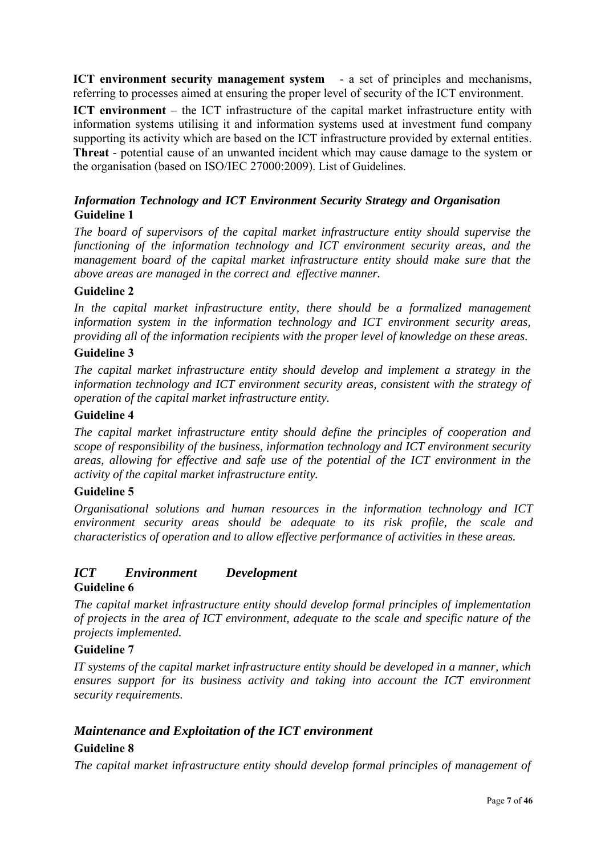**ICT environment security management system** - a set of principles and mechanisms, referring to processes aimed at ensuring the proper level of security of the ICT environment.

**ICT** environment – the ICT infrastructure of the capital market infrastructure entity with information systems utilising it and information systems used at investment fund company supporting its activity which are based on the ICT infrastructure provided by external entities. **Threat** - potential cause of an unwanted incident which may cause damage to the system or the organisation (based on ISO/IEC 27000:2009). List of Guidelines.

## *Information Technology and ICT Environment Security Strategy and Organisation*  **Guideline 1**

*The board of supervisors of the capital market infrastructure entity should supervise the functioning of the information technology and ICT environment security areas, and the management board of the capital market infrastructure entity should make sure that the above areas are managed in the correct and effective manner.* 

## **Guideline 2**

In the capital market infrastructure entity, there should be a formalized management *information system in the information technology and ICT environment security areas, providing all of the information recipients with the proper level of knowledge on these areas.* 

# **Guideline 3**

*The capital market infrastructure entity should develop and implement a strategy in the information technology and ICT environment security areas, consistent with the strategy of operation of the capital market infrastructure entity.* 

## **Guideline 4**

*The capital market infrastructure entity should define the principles of cooperation and scope of responsibility of the business, information technology and ICT environment security areas, allowing for effective and safe use of the potential of the ICT environment in the activity of the capital market infrastructure entity.* 

## **Guideline 5**

*Organisational solutions and human resources in the information technology and ICT environment security areas should be adequate to its risk profile, the scale and characteristics of operation and to allow effective performance of activities in these areas.*

# *ICT Environment Development*

#### **Guideline 6**

*The capital market infrastructure entity should develop formal principles of implementation of projects in the area of ICT environment, adequate to the scale and specific nature of the projects implemented.* 

#### **Guideline 7**

*IT systems of the capital market infrastructure entity should be developed in a manner, which ensures support for its business activity and taking into account the ICT environment security requirements.* 

## *Maintenance and Exploitation of the ICT environment*

## **Guideline 8**

*The capital market infrastructure entity should develop formal principles of management of*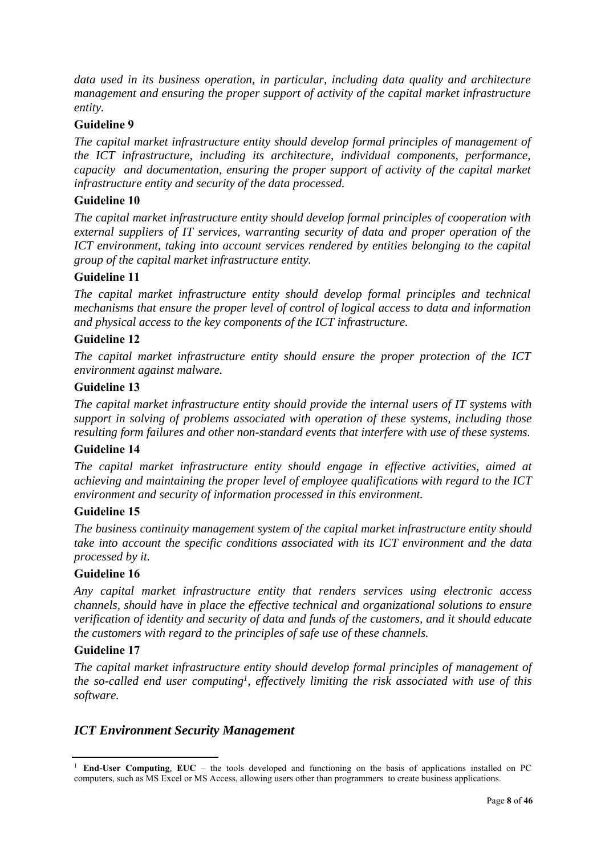*data used in its business operation, in particular, including data quality and architecture management and ensuring the proper support of activity of the capital market infrastructure entity.* 

#### **Guideline 9**

*The capital market infrastructure entity should develop formal principles of management of the ICT infrastructure, including its architecture, individual components, performance, capacity and documentation, ensuring the proper support of activity of the capital market infrastructure entity and security of the data processed.* 

#### **Guideline 10**

*The capital market infrastructure entity should develop formal principles of cooperation with external suppliers of IT services, warranting security of data and proper operation of the ICT environment, taking into account services rendered by entities belonging to the capital group of the capital market infrastructure entity.* 

## **Guideline 11**

*The capital market infrastructure entity should develop formal principles and technical mechanisms that ensure the proper level of control of logical access to data and information and physical access to the key components of the ICT infrastructure.* 

## **Guideline 12**

*The capital market infrastructure entity should ensure the proper protection of the ICT environment against malware.* 

#### **Guideline 13**

*The capital market infrastructure entity should provide the internal users of IT systems with support in solving of problems associated with operation of these systems, including those resulting form failures and other non-standard events that interfere with use of these systems.* 

#### **Guideline 14**

*The capital market infrastructure entity should engage in effective activities, aimed at achieving and maintaining the proper level of employee qualifications with regard to the ICT environment and security of information processed in this environment.* 

#### **Guideline 15**

*The business continuity management system of the capital market infrastructure entity should take into account the specific conditions associated with its ICT environment and the data processed by it.* 

#### **Guideline 16**

*Any capital market infrastructure entity that renders services using electronic access channels, should have in place the effective technical and organizational solutions to ensure verification of identity and security of data and funds of the customers, and it should educate the customers with regard to the principles of safe use of these channels.* 

#### **Guideline 17**

*The capital market infrastructure entity should develop formal principles of management of the so-called end user computing1, effectively limiting the risk associated with use of this software.* 

#### *ICT Environment Security Management*

<sup>1</sup>  **End-User Computing***,* **EUC** – the tools developed and functioning on the basis of applications installed on PC computers, such as MS Excel or MS Access, allowing users other than programmers to create business applications.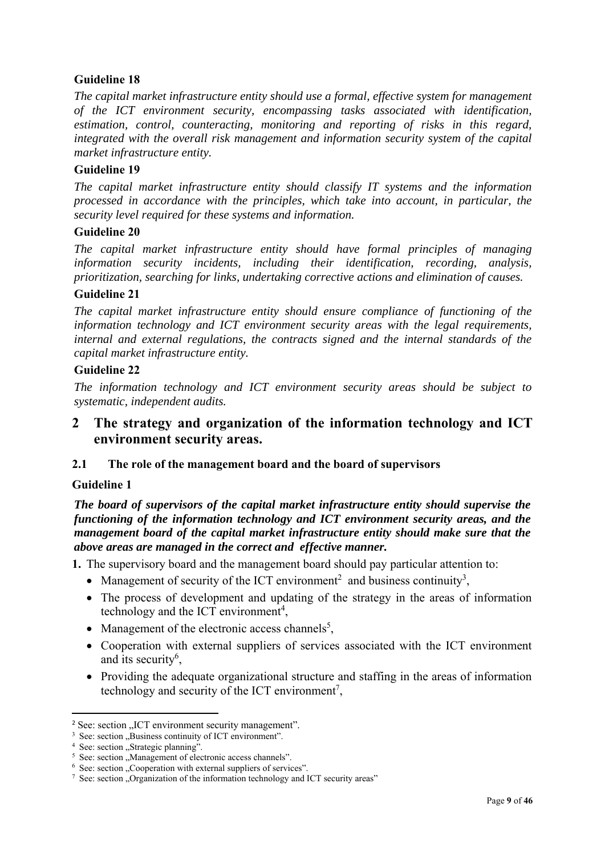## **Guideline 18**

*The capital market infrastructure entity should use a formal, effective system for management of the ICT environment security, encompassing tasks associated with identification, estimation, control, counteracting, monitoring and reporting of risks in this regard, integrated with the overall risk management and information security system of the capital market infrastructure entity.* 

## **Guideline 19**

*The capital market infrastructure entity should classify IT systems and the information processed in accordance with the principles, which take into account, in particular, the security level required for these systems and information.* 

#### **Guideline 20**

*The capital market infrastructure entity should have formal principles of managing information security incidents, including their identification, recording, analysis, prioritization, searching for links, undertaking corrective actions and elimination of causes.* 

#### **Guideline 21**

*The capital market infrastructure entity should ensure compliance of functioning of the information technology and ICT environment security areas with the legal requirements, internal and external regulations, the contracts signed and the internal standards of the capital market infrastructure entity.* 

#### **Guideline 22**

*The information technology and ICT environment security areas should be subject to systematic, independent audits.* 

# **2 The strategy and organization of the information technology and ICT environment security areas.**

#### **2.1 The role of the management board and the board of supervisors**

## **Guideline 1**

*The board of supervisors of the capital market infrastructure entity should supervise the functioning of the information technology and ICT environment security areas, and the management board of the capital market infrastructure entity should make sure that the above areas are managed in the correct and effective manner.* 

**1.** The supervisory board and the management board should pay particular attention to:

- Management of security of the ICT environment<sup>2</sup> and business continuity<sup>3</sup>,
- The process of development and updating of the strategy in the areas of information technology and the ICT environment<sup>4</sup>,
- Management of the electronic access channels<sup>5</sup>,
- Cooperation with external suppliers of services associated with the ICT environment and its security<sup>6</sup>,
- Providing the adequate organizational structure and staffing in the areas of information technology and security of the ICT environment<sup>7</sup>,

<sup>&</sup>lt;sup>2</sup> See: section  $\alpha$ , ICT environment security management". <sup>3</sup> See: section  $\alpha$ , Business continuity of ICT environment".

<sup>&</sup>lt;sup>4</sup> See: section "Strategic planning".

<sup>&</sup>lt;sup>5</sup> See: section "Management of electronic access channels".

<sup>&</sup>lt;sup>6</sup> See: section "Cooperation with external suppliers of services".

 $\frac{7}{1}$  See: section , Organization of the information technology and ICT security areas"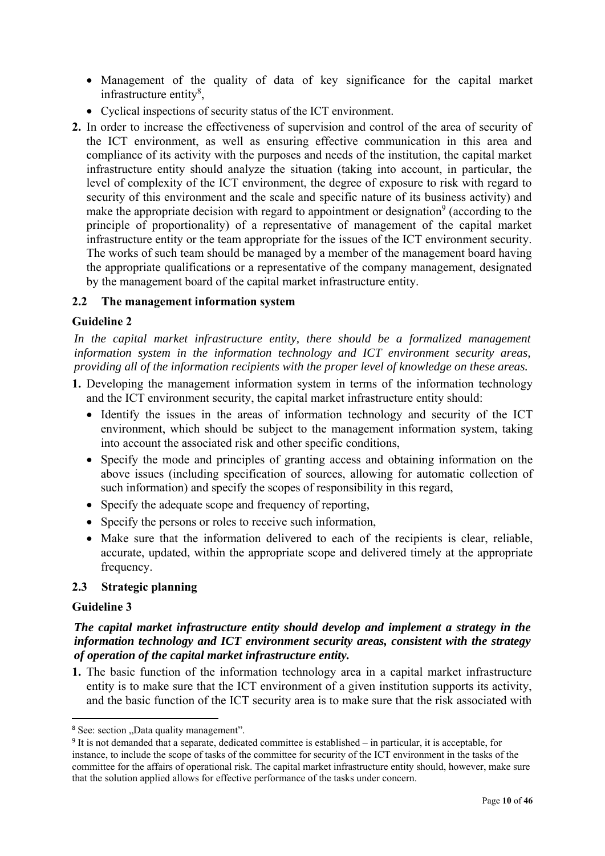- Management of the quality of data of key significance for the capital market infrastructure entity $^{8}$ ,
- Cyclical inspections of security status of the ICT environment.
- **2.** In order to increase the effectiveness of supervision and control of the area of security of the ICT environment, as well as ensuring effective communication in this area and compliance of its activity with the purposes and needs of the institution, the capital market infrastructure entity should analyze the situation (taking into account, in particular, the level of complexity of the ICT environment, the degree of exposure to risk with regard to security of this environment and the scale and specific nature of its business activity) and make the appropriate decision with regard to appointment or designation $9$  (according to the principle of proportionality) of a representative of management of the capital market infrastructure entity or the team appropriate for the issues of the ICT environment security. The works of such team should be managed by a member of the management board having the appropriate qualifications or a representative of the company management, designated by the management board of the capital market infrastructure entity.

# **2.2 The management information system**

## **Guideline 2**

In the capital market infrastructure entity, there should be a formalized management *information system in the information technology and ICT environment security areas, providing all of the information recipients with the proper level of knowledge on these areas.* 

- **1.** Developing the management information system in terms of the information technology and the ICT environment security, the capital market infrastructure entity should:
	- Identify the issues in the areas of information technology and security of the ICT environment, which should be subject to the management information system, taking into account the associated risk and other specific conditions,
	- Specify the mode and principles of granting access and obtaining information on the above issues (including specification of sources, allowing for automatic collection of such information) and specify the scopes of responsibility in this regard,
	- Specify the adequate scope and frequency of reporting,
	- Specify the persons or roles to receive such information,
	- Make sure that the information delivered to each of the recipients is clear, reliable, accurate, updated, within the appropriate scope and delivered timely at the appropriate frequency.

## **2.3 Strategic planning**

#### **Guideline 3**

## *The capital market infrastructure entity should develop and implement a strategy in the information technology and ICT environment security areas, consistent with the strategy of operation of the capital market infrastructure entity.*

**1.** The basic function of the information technology area in a capital market infrastructure entity is to make sure that the ICT environment of a given institution supports its activity, and the basic function of the ICT security area is to make sure that the risk associated with

<sup>&</sup>lt;sup>8</sup> See: section ..Data quality management".

<sup>9</sup> It is not demanded that a separate, dedicated committee is established – in particular, it is acceptable, for instance, to include the scope of tasks of the committee for security of the ICT environment in the tasks of the committee for the affairs of operational risk. The capital market infrastructure entity should, however, make sure that the solution applied allows for effective performance of the tasks under concern.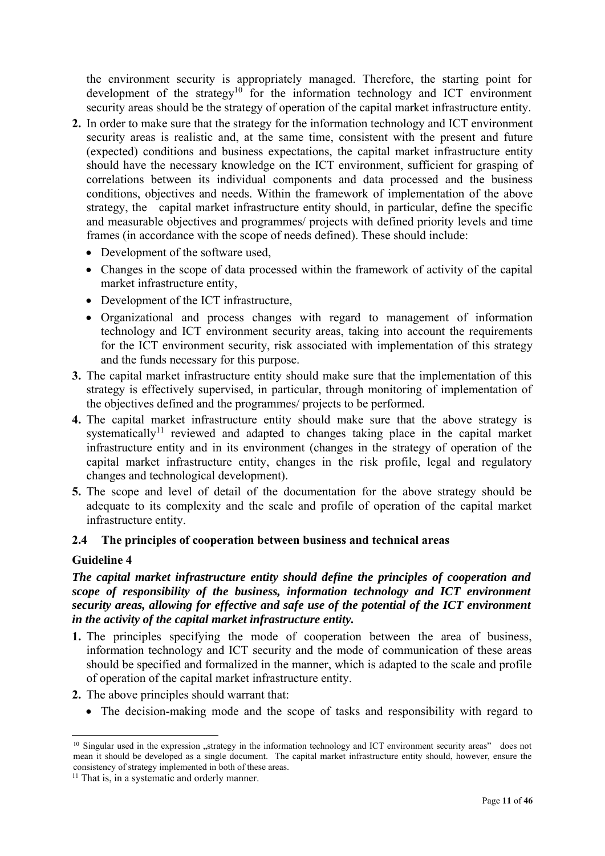the environment security is appropriately managed. Therefore, the starting point for development of the strategy<sup>10</sup> for the information technology and ICT environment security areas should be the strategy of operation of the capital market infrastructure entity.

- **2.** In order to make sure that the strategy for the information technology and ICT environment security areas is realistic and, at the same time, consistent with the present and future (expected) conditions and business expectations, the capital market infrastructure entity should have the necessary knowledge on the ICT environment, sufficient for grasping of correlations between its individual components and data processed and the business conditions, objectives and needs. Within the framework of implementation of the above strategy, the capital market infrastructure entity should, in particular, define the specific and measurable objectives and programmes/ projects with defined priority levels and time frames (in accordance with the scope of needs defined). These should include:
	- Development of the software used,
	- Changes in the scope of data processed within the framework of activity of the capital market infrastructure entity,
	- Development of the ICT infrastructure.
	- Organizational and process changes with regard to management of information technology and ICT environment security areas, taking into account the requirements for the ICT environment security, risk associated with implementation of this strategy and the funds necessary for this purpose.
- **3.** The capital market infrastructure entity should make sure that the implementation of this strategy is effectively supervised, in particular, through monitoring of implementation of the objectives defined and the programmes/ projects to be performed.
- **4.** The capital market infrastructure entity should make sure that the above strategy is systematically<sup>11</sup> reviewed and adapted to changes taking place in the capital market infrastructure entity and in its environment (changes in the strategy of operation of the capital market infrastructure entity, changes in the risk profile, legal and regulatory changes and technological development).
- **5.** The scope and level of detail of the documentation for the above strategy should be adequate to its complexity and the scale and profile of operation of the capital market infrastructure entity.

## **2.4 The principles of cooperation between business and technical areas**

## **Guideline 4**

## *The capital market infrastructure entity should define the principles of cooperation and scope of responsibility of the business, information technology and ICT environment security areas, allowing for effective and safe use of the potential of the ICT environment in the activity of the capital market infrastructure entity.*

- **1.** The principles specifying the mode of cooperation between the area of business, information technology and ICT security and the mode of communication of these areas should be specified and formalized in the manner, which is adapted to the scale and profile of operation of the capital market infrastructure entity.
- **2.** The above principles should warrant that:
	- The decision-making mode and the scope of tasks and responsibility with regard to

 <sup>10</sup> Singular used in the expression "strategy in the information technology and ICT environment security areas" does not mean it should be developed as a single document. The capital market infrastructure entity should, however, ensure the consistency of strategy implemented in both of these areas. 11 That is, in a systematic and orderly manner.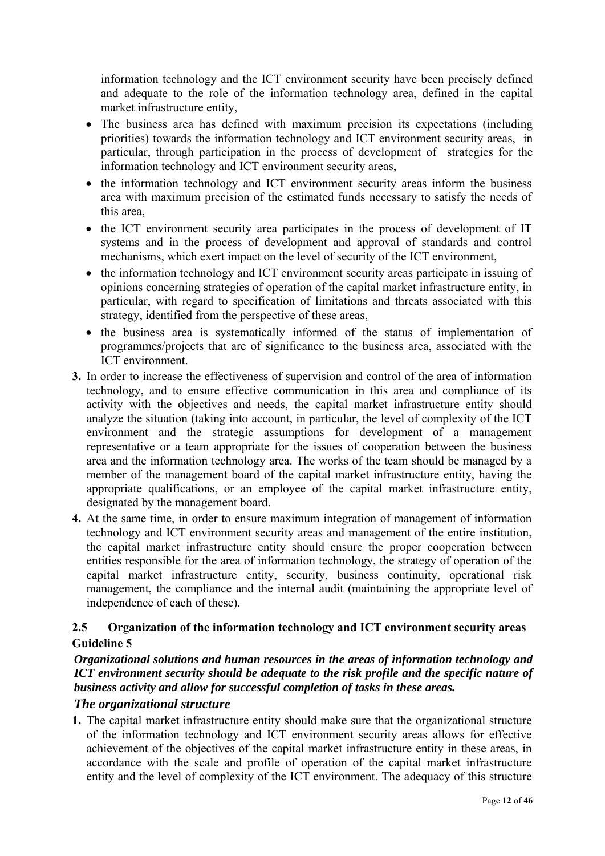information technology and the ICT environment security have been precisely defined and adequate to the role of the information technology area, defined in the capital market infrastructure entity,

- The business area has defined with maximum precision its expectations (including priorities) towards the information technology and ICT environment security areas, in particular, through participation in the process of development of strategies for the information technology and ICT environment security areas,
- the information technology and ICT environment security areas inform the business area with maximum precision of the estimated funds necessary to satisfy the needs of this area,
- the ICT environment security area participates in the process of development of IT systems and in the process of development and approval of standards and control mechanisms, which exert impact on the level of security of the ICT environment,
- the information technology and ICT environment security areas participate in issuing of opinions concerning strategies of operation of the capital market infrastructure entity, in particular, with regard to specification of limitations and threats associated with this strategy, identified from the perspective of these areas,
- the business area is systematically informed of the status of implementation of programmes/projects that are of significance to the business area, associated with the ICT environment.
- **3.** In order to increase the effectiveness of supervision and control of the area of information technology, and to ensure effective communication in this area and compliance of its activity with the objectives and needs, the capital market infrastructure entity should analyze the situation (taking into account, in particular, the level of complexity of the ICT environment and the strategic assumptions for development of a management representative or a team appropriate for the issues of cooperation between the business area and the information technology area. The works of the team should be managed by a member of the management board of the capital market infrastructure entity, having the appropriate qualifications, or an employee of the capital market infrastructure entity, designated by the management board.
- **4.** At the same time, in order to ensure maximum integration of management of information technology and ICT environment security areas and management of the entire institution, the capital market infrastructure entity should ensure the proper cooperation between entities responsible for the area of information technology, the strategy of operation of the capital market infrastructure entity, security, business continuity, operational risk management, the compliance and the internal audit (maintaining the appropriate level of independence of each of these).

## **2.5 Organization of the information technology and ICT environment security areas Guideline 5**

# *Organizational solutions and human resources in the areas of information technology and ICT environment security should be adequate to the risk profile and the specific nature of business activity and allow for successful completion of tasks in these areas.*

## *The organizational structure*

**1.** The capital market infrastructure entity should make sure that the organizational structure of the information technology and ICT environment security areas allows for effective achievement of the objectives of the capital market infrastructure entity in these areas, in accordance with the scale and profile of operation of the capital market infrastructure entity and the level of complexity of the ICT environment. The adequacy of this structure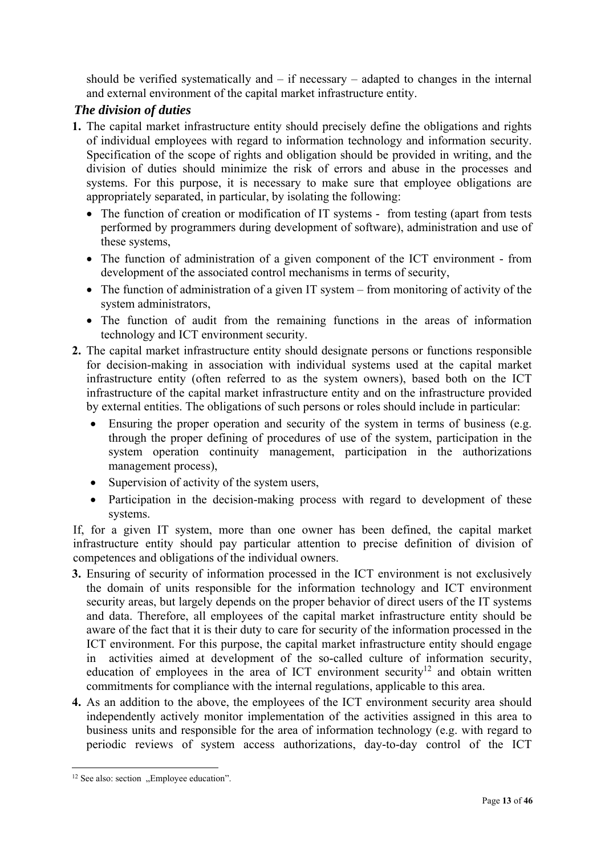should be verified systematically and  $-$  if necessary  $-$  adapted to changes in the internal and external environment of the capital market infrastructure entity.

# *The division of duties*

- **1.** The capital market infrastructure entity should precisely define the obligations and rights of individual employees with regard to information technology and information security. Specification of the scope of rights and obligation should be provided in writing, and the division of duties should minimize the risk of errors and abuse in the processes and systems. For this purpose, it is necessary to make sure that employee obligations are appropriately separated, in particular, by isolating the following:
	- The function of creation or modification of IT systems from testing (apart from tests performed by programmers during development of software), administration and use of these systems,
	- The function of administration of a given component of the ICT environment from development of the associated control mechanisms in terms of security,
	- The function of administration of a given IT system from monitoring of activity of the system administrators,
	- The function of audit from the remaining functions in the areas of information technology and ICT environment security.
- **2.** The capital market infrastructure entity should designate persons or functions responsible for decision-making in association with individual systems used at the capital market infrastructure entity (often referred to as the system owners), based both on the ICT infrastructure of the capital market infrastructure entity and on the infrastructure provided by external entities. The obligations of such persons or roles should include in particular:
	- Ensuring the proper operation and security of the system in terms of business (e.g. through the proper defining of procedures of use of the system, participation in the system operation continuity management, participation in the authorizations management process),
	- Supervision of activity of the system users,
	- Participation in the decision-making process with regard to development of these systems.

If, for a given IT system, more than one owner has been defined, the capital market infrastructure entity should pay particular attention to precise definition of division of competences and obligations of the individual owners.

- **3.** Ensuring of security of information processed in the ICT environment is not exclusively the domain of units responsible for the information technology and ICT environment security areas, but largely depends on the proper behavior of direct users of the IT systems and data. Therefore, all employees of the capital market infrastructure entity should be aware of the fact that it is their duty to care for security of the information processed in the ICT environment. For this purpose, the capital market infrastructure entity should engage in activities aimed at development of the so-called culture of information security, education of employees in the area of ICT environment security<sup>12</sup> and obtain written commitments for compliance with the internal regulations, applicable to this area.
- **4.** As an addition to the above, the employees of the ICT environment security area should independently actively monitor implementation of the activities assigned in this area to business units and responsible for the area of information technology (e.g. with regard to periodic reviews of system access authorizations, day-to-day control of the ICT

 <sup>12</sup> See also: section "Employee education".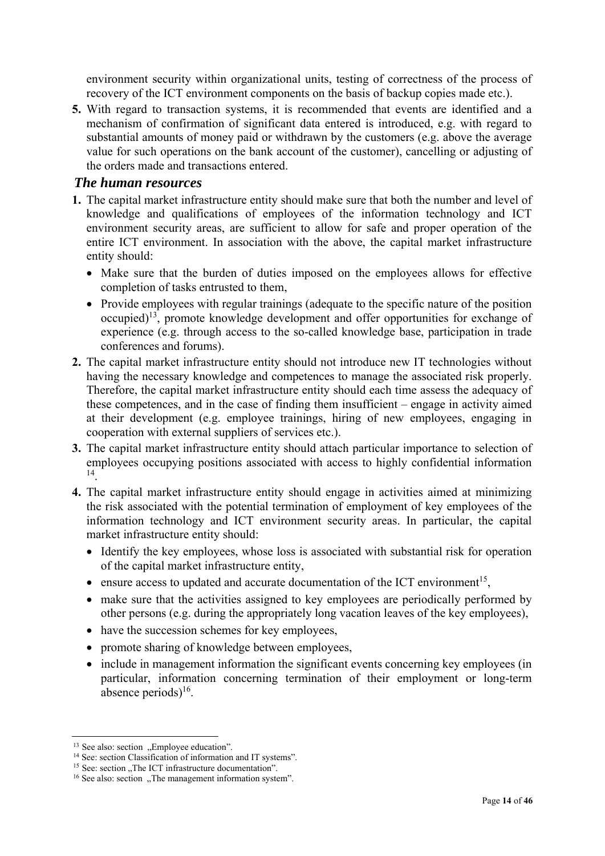environment security within organizational units, testing of correctness of the process of recovery of the ICT environment components on the basis of backup copies made etc.).

**5.** With regard to transaction systems, it is recommended that events are identified and a mechanism of confirmation of significant data entered is introduced, e.g. with regard to substantial amounts of money paid or withdrawn by the customers (e.g. above the average value for such operations on the bank account of the customer), cancelling or adjusting of the orders made and transactions entered.

## *The human resources*

- **1.** The capital market infrastructure entity should make sure that both the number and level of knowledge and qualifications of employees of the information technology and ICT environment security areas, are sufficient to allow for safe and proper operation of the entire ICT environment. In association with the above, the capital market infrastructure entity should:
	- Make sure that the burden of duties imposed on the employees allows for effective completion of tasks entrusted to them,
	- Provide employees with regular trainings (adequate to the specific nature of the position occupied)13, promote knowledge development and offer opportunities for exchange of experience (e.g. through access to the so-called knowledge base, participation in trade conferences and forums).
- **2.** The capital market infrastructure entity should not introduce new IT technologies without having the necessary knowledge and competences to manage the associated risk properly. Therefore, the capital market infrastructure entity should each time assess the adequacy of these competences, and in the case of finding them insufficient – engage in activity aimed at their development (e.g. employee trainings, hiring of new employees, engaging in cooperation with external suppliers of services etc.).
- **3.** The capital market infrastructure entity should attach particular importance to selection of employees occupying positions associated with access to highly confidential information 14.
- **4.** The capital market infrastructure entity should engage in activities aimed at minimizing the risk associated with the potential termination of employment of key employees of the information technology and ICT environment security areas. In particular, the capital market infrastructure entity should:
	- Identify the key employees, whose loss is associated with substantial risk for operation of the capital market infrastructure entity,
	- ensure access to updated and accurate documentation of the ICT environment<sup>15</sup>.
	- make sure that the activities assigned to key employees are periodically performed by other persons (e.g. during the appropriately long vacation leaves of the key employees),
	- have the succession schemes for key employees,
	- promote sharing of knowledge between employees,
	- include in management information the significant events concerning key employees (in particular, information concerning termination of their employment or long-term absence periods) $16$ .

<sup>&</sup>lt;sup>13</sup> See also: section  $\Omega$ , Employee education".<br><sup>14</sup> See: section Classification of information and IT systems".

<sup>&</sup>lt;sup>15</sup> See: section  $\mu$ The ICT infrastructure documentation".<br><sup>16</sup> See also: section  $\mu$ The management information system".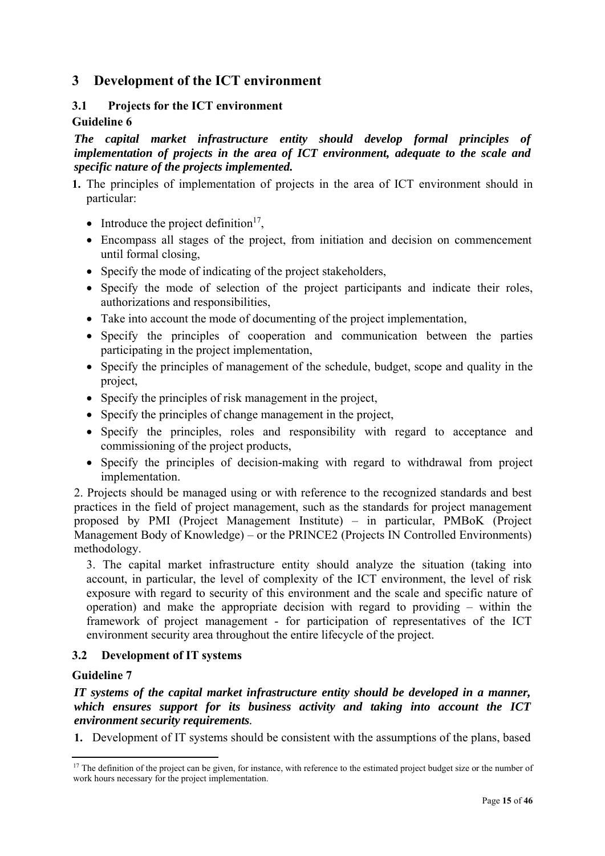# **3 Development of the ICT environment**

## **3.1 Projects for the ICT environment**

## **Guideline 6**

## *The capital market infrastructure entity should develop formal principles of implementation of projects in the area of ICT environment, adequate to the scale and specific nature of the projects implemented.*

- **1.** The principles of implementation of projects in the area of ICT environment should in particular:
	- Introduce the project definition<sup>17</sup>,
	- Encompass all stages of the project, from initiation and decision on commencement until formal closing,
	- Specify the mode of indicating of the project stakeholders,
	- Specify the mode of selection of the project participants and indicate their roles, authorizations and responsibilities,
	- Take into account the mode of documenting of the project implementation,
	- Specify the principles of cooperation and communication between the parties participating in the project implementation,
	- Specify the principles of management of the schedule, budget, scope and quality in the project,
	- Specify the principles of risk management in the project,
	- Specify the principles of change management in the project,
	- Specify the principles, roles and responsibility with regard to acceptance and commissioning of the project products,
	- Specify the principles of decision-making with regard to withdrawal from project implementation.

2. Projects should be managed using or with reference to the recognized standards and best practices in the field of project management, such as the standards for project management proposed by PMI (Project Management Institute) – in particular, PMBoK (Project Management Body of Knowledge) – or the PRINCE2 (Projects IN Controlled Environments) methodology.

3. The capital market infrastructure entity should analyze the situation (taking into account, in particular, the level of complexity of the ICT environment, the level of risk exposure with regard to security of this environment and the scale and specific nature of operation) and make the appropriate decision with regard to providing – within the framework of project management - for participation of representatives of the ICT environment security area throughout the entire lifecycle of the project.

## **3.2 Development of IT systems**

#### **Guideline 7**

*IT systems of the capital market infrastructure entity should be developed in a manner, which ensures support for its business activity and taking into account the ICT environment security requirements.* 

**1.** Development of IT systems should be consistent with the assumptions of the plans, based

<sup>&</sup>lt;sup>17</sup> The definition of the project can be given, for instance, with reference to the estimated project budget size or the number of work hours necessary for the project implementation.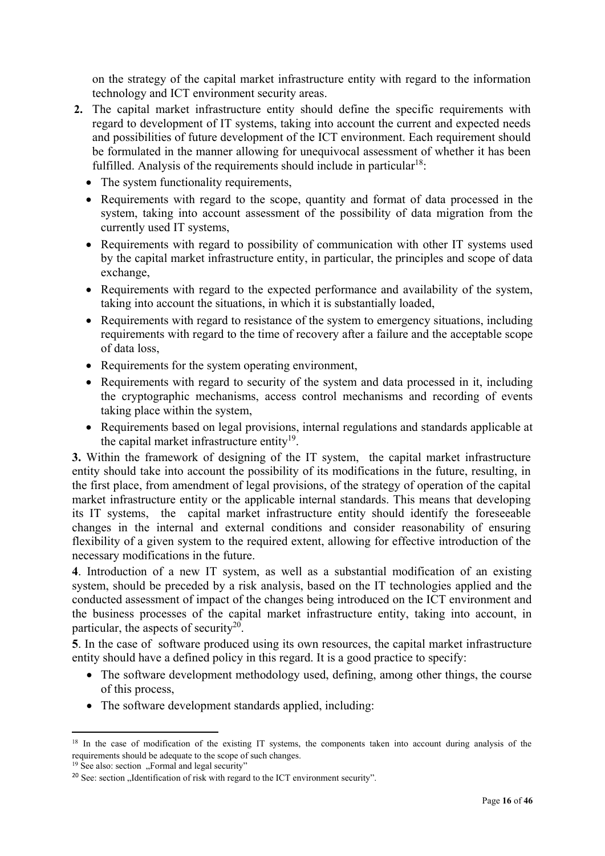on the strategy of the capital market infrastructure entity with regard to the information technology and ICT environment security areas.

- **2.** The capital market infrastructure entity should define the specific requirements with regard to development of IT systems, taking into account the current and expected needs and possibilities of future development of the ICT environment. Each requirement should be formulated in the manner allowing for unequivocal assessment of whether it has been fulfilled. Analysis of the requirements should include in particular<sup>18</sup>:
	- The system functionality requirements,
	- Requirements with regard to the scope, quantity and format of data processed in the system, taking into account assessment of the possibility of data migration from the currently used IT systems,
	- Requirements with regard to possibility of communication with other IT systems used by the capital market infrastructure entity, in particular, the principles and scope of data exchange,
	- Requirements with regard to the expected performance and availability of the system, taking into account the situations, in which it is substantially loaded,
	- Requirements with regard to resistance of the system to emergency situations, including requirements with regard to the time of recovery after a failure and the acceptable scope of data loss,
	- Requirements for the system operating environment,
	- Requirements with regard to security of the system and data processed in it, including the cryptographic mechanisms, access control mechanisms and recording of events taking place within the system,
	- Requirements based on legal provisions, internal regulations and standards applicable at the capital market infrastructure entity<sup>19</sup>.

**3.** Within the framework of designing of the IT system, the capital market infrastructure entity should take into account the possibility of its modifications in the future, resulting, in the first place, from amendment of legal provisions, of the strategy of operation of the capital market infrastructure entity or the applicable internal standards. This means that developing its IT systems, the capital market infrastructure entity should identify the foreseeable changes in the internal and external conditions and consider reasonability of ensuring flexibility of a given system to the required extent, allowing for effective introduction of the necessary modifications in the future.

**4**. Introduction of a new IT system, as well as a substantial modification of an existing system, should be preceded by a risk analysis, based on the IT technologies applied and the conducted assessment of impact of the changes being introduced on the ICT environment and the business processes of the capital market infrastructure entity, taking into account, in particular, the aspects of security<sup>20</sup>.

**5**. In the case of software produced using its own resources, the capital market infrastructure entity should have a defined policy in this regard. It is a good practice to specify:

- The software development methodology used, defining, among other things, the course of this process,
- The software development standards applied, including:

<sup>&</sup>lt;sup>18</sup> In the case of modification of the existing IT systems, the components taken into account during analysis of the requirements should be adequate to the scope of such changes.<br><sup>19</sup> See also: section "Formal and legal security"

<sup>&</sup>lt;sup>20</sup> See: section "Identification of risk with regard to the ICT environment security".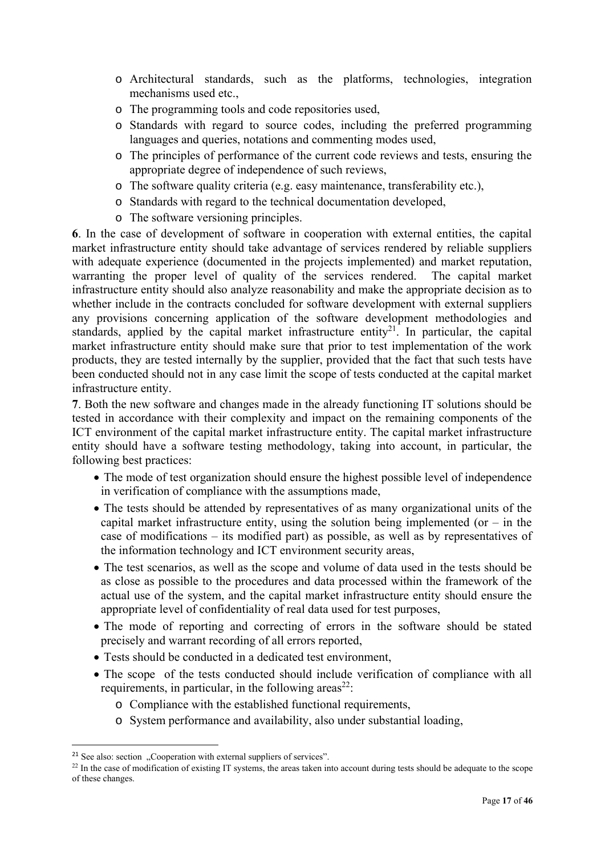- o Architectural standards, such as the platforms, technologies, integration mechanisms used etc.,
- o The programming tools and code repositories used,
- o Standards with regard to source codes, including the preferred programming languages and queries, notations and commenting modes used,
- o The principles of performance of the current code reviews and tests, ensuring the appropriate degree of independence of such reviews,
- o The software quality criteria (e.g. easy maintenance, transferability etc.),
- o Standards with regard to the technical documentation developed,
- o The software versioning principles.

**6**. In the case of development of software in cooperation with external entities, the capital market infrastructure entity should take advantage of services rendered by reliable suppliers with adequate experience (documented in the projects implemented) and market reputation, warranting the proper level of quality of the services rendered. The capital market infrastructure entity should also analyze reasonability and make the appropriate decision as to whether include in the contracts concluded for software development with external suppliers any provisions concerning application of the software development methodologies and standards, applied by the capital market infrastructure entity<sup>21</sup>. In particular, the capital market infrastructure entity should make sure that prior to test implementation of the work products, they are tested internally by the supplier, provided that the fact that such tests have been conducted should not in any case limit the scope of tests conducted at the capital market infrastructure entity.

**7**. Both the new software and changes made in the already functioning IT solutions should be tested in accordance with their complexity and impact on the remaining components of the ICT environment of the capital market infrastructure entity. The capital market infrastructure entity should have a software testing methodology, taking into account, in particular, the following best practices:

- The mode of test organization should ensure the highest possible level of independence in verification of compliance with the assumptions made,
- The tests should be attended by representatives of as many organizational units of the capital market infrastructure entity, using the solution being implemented (or  $-$  in the case of modifications – its modified part) as possible, as well as by representatives of the information technology and ICT environment security areas,
- The test scenarios, as well as the scope and volume of data used in the tests should be as close as possible to the procedures and data processed within the framework of the actual use of the system, and the capital market infrastructure entity should ensure the appropriate level of confidentiality of real data used for test purposes,
- The mode of reporting and correcting of errors in the software should be stated precisely and warrant recording of all errors reported,
- Tests should be conducted in a dedicated test environment,
- The scope of the tests conducted should include verification of compliance with all requirements, in particular, in the following areas<sup>22</sup>:
	- o Compliance with the established functional requirements,
	- o System performance and availability, also under substantial loading,

<sup>&</sup>lt;sup>21</sup> See also: section  $\sqrt{22}$ . Cooperation with external suppliers of services".<br><sup>22</sup> In the case of modification of existing IT systems, the areas taken into account during tests should be adequate to the scope of these changes.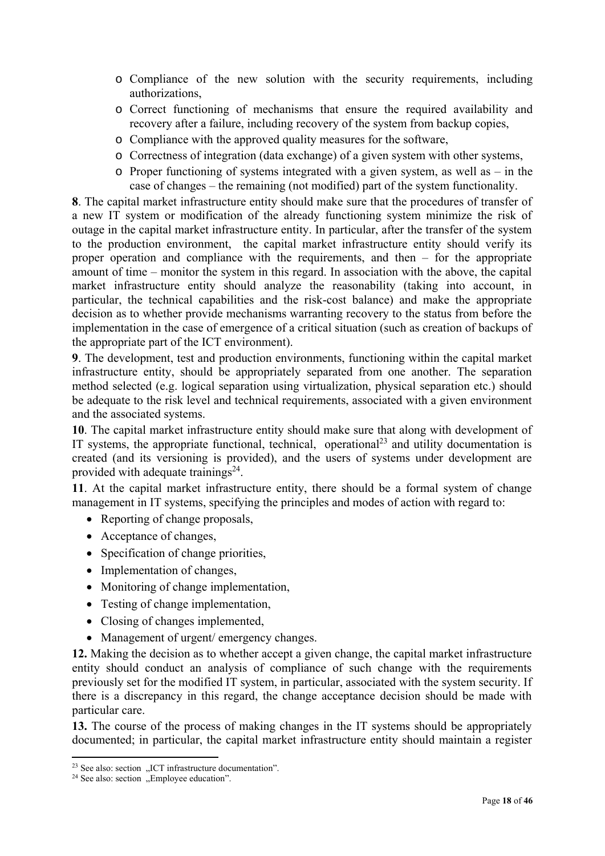- o Compliance of the new solution with the security requirements, including authorizations,
- o Correct functioning of mechanisms that ensure the required availability and recovery after a failure, including recovery of the system from backup copies,
- o Compliance with the approved quality measures for the software,
- o Correctness of integration (data exchange) of a given system with other systems,
- o Proper functioning of systems integrated with a given system, as well as in the case of changes – the remaining (not modified) part of the system functionality.

**8**. The capital market infrastructure entity should make sure that the procedures of transfer of a new IT system or modification of the already functioning system minimize the risk of outage in the capital market infrastructure entity. In particular, after the transfer of the system to the production environment, the capital market infrastructure entity should verify its proper operation and compliance with the requirements, and then – for the appropriate amount of time – monitor the system in this regard. In association with the above, the capital market infrastructure entity should analyze the reasonability (taking into account, in particular, the technical capabilities and the risk-cost balance) and make the appropriate decision as to whether provide mechanisms warranting recovery to the status from before the implementation in the case of emergence of a critical situation (such as creation of backups of the appropriate part of the ICT environment).

**9**. The development, test and production environments, functioning within the capital market infrastructure entity, should be appropriately separated from one another. The separation method selected (e.g. logical separation using virtualization, physical separation etc.) should be adequate to the risk level and technical requirements, associated with a given environment and the associated systems.

**10**. The capital market infrastructure entity should make sure that along with development of IT systems, the appropriate functional, technical, operational<sup>23</sup> and utility documentation is created (and its versioning is provided), and the users of systems under development are provided with adequate trainings $2^4$ .

**11**. At the capital market infrastructure entity, there should be a formal system of change management in IT systems, specifying the principles and modes of action with regard to:

- Reporting of change proposals,
- Acceptance of changes,
- Specification of change priorities,
- Implementation of changes,
- Monitoring of change implementation,
- Testing of change implementation,
- Closing of changes implemented,
- Management of urgent/ emergency changes.

**12.** Making the decision as to whether accept a given change, the capital market infrastructure entity should conduct an analysis of compliance of such change with the requirements previously set for the modified IT system, in particular, associated with the system security. If there is a discrepancy in this regard, the change acceptance decision should be made with particular care.

**13.** The course of the process of making changes in the IT systems should be appropriately documented; in particular, the capital market infrastructure entity should maintain a register

<sup>&</sup>lt;sup>23</sup> See also: section "ICT infrastructure documentation".

<sup>&</sup>lt;sup>24</sup> See also: section "Employee education".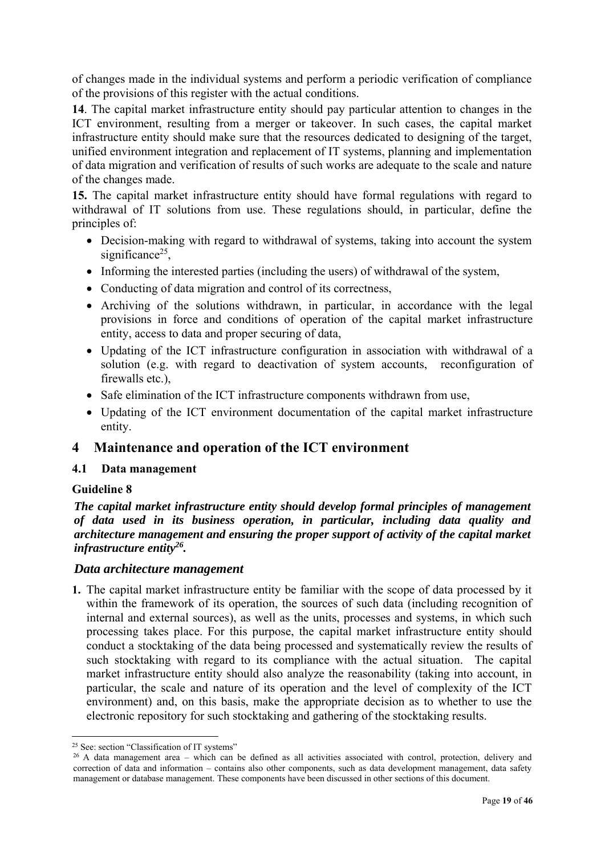of changes made in the individual systems and perform a periodic verification of compliance of the provisions of this register with the actual conditions.

**14**. The capital market infrastructure entity should pay particular attention to changes in the ICT environment, resulting from a merger or takeover. In such cases, the capital market infrastructure entity should make sure that the resources dedicated to designing of the target, unified environment integration and replacement of IT systems, planning and implementation of data migration and verification of results of such works are adequate to the scale and nature of the changes made.

**15.** The capital market infrastructure entity should have formal regulations with regard to withdrawal of IT solutions from use. These regulations should, in particular, define the principles of:

- Decision-making with regard to withdrawal of systems, taking into account the system significance $25$ .
- Informing the interested parties (including the users) of withdrawal of the system,
- Conducting of data migration and control of its correctness,
- Archiving of the solutions withdrawn, in particular, in accordance with the legal provisions in force and conditions of operation of the capital market infrastructure entity, access to data and proper securing of data,
- Updating of the ICT infrastructure configuration in association with withdrawal of a solution (e.g. with regard to deactivation of system accounts, reconfiguration of firewalls etc.),
- Safe elimination of the ICT infrastructure components withdrawn from use,
- Updating of the ICT environment documentation of the capital market infrastructure entity.

# **4 Maintenance and operation of the ICT environment**

## **4.1 Data management**

## **Guideline 8**

*The capital market infrastructure entity should develop formal principles of management of data used in its business operation, in particular, including data quality and architecture management and ensuring the proper support of activity of the capital market infrastructure entity26.*

## *Data architecture management*

**1.** The capital market infrastructure entity be familiar with the scope of data processed by it within the framework of its operation, the sources of such data (including recognition of internal and external sources), as well as the units, processes and systems, in which such processing takes place. For this purpose, the capital market infrastructure entity should conduct a stocktaking of the data being processed and systematically review the results of such stocktaking with regard to its compliance with the actual situation. The capital market infrastructure entity should also analyze the reasonability (taking into account, in particular, the scale and nature of its operation and the level of complexity of the ICT environment) and, on this basis, make the appropriate decision as to whether to use the electronic repository for such stocktaking and gathering of the stocktaking results.

 25 See: section "Classification of IT systems"

<sup>&</sup>lt;sup>26</sup> A data management area – which can be defined as all activities associated with control, protection, delivery and correction of data and information – contains also other components, such as data development management, data safety management or database management. These components have been discussed in other sections of this document.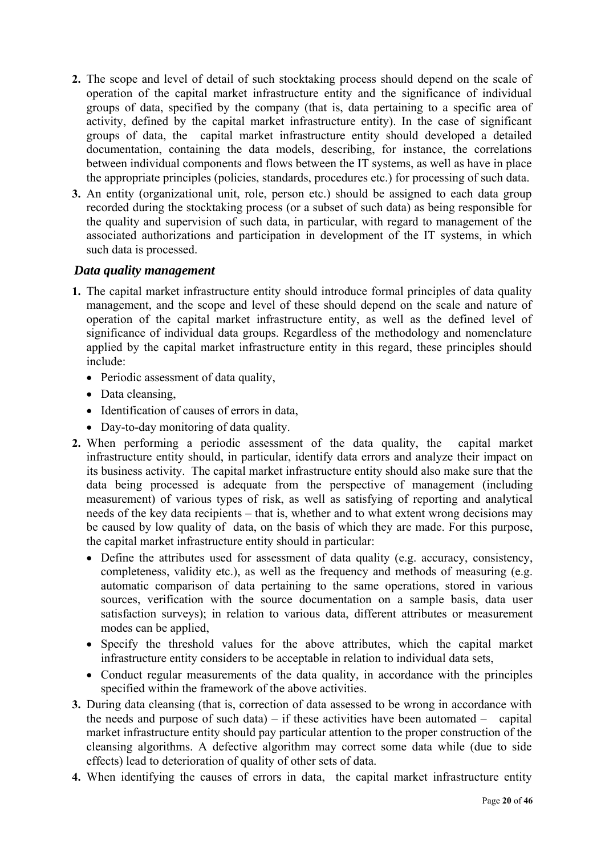- **2.** The scope and level of detail of such stocktaking process should depend on the scale of operation of the capital market infrastructure entity and the significance of individual groups of data, specified by the company (that is, data pertaining to a specific area of activity, defined by the capital market infrastructure entity). In the case of significant groups of data, the capital market infrastructure entity should developed a detailed documentation, containing the data models, describing, for instance, the correlations between individual components and flows between the IT systems, as well as have in place the appropriate principles (policies, standards, procedures etc.) for processing of such data.
- **3.** An entity (organizational unit, role, person etc.) should be assigned to each data group recorded during the stocktaking process (or a subset of such data) as being responsible for the quality and supervision of such data, in particular, with regard to management of the associated authorizations and participation in development of the IT systems, in which such data is processed.

## *Data quality management*

- **1.** The capital market infrastructure entity should introduce formal principles of data quality management, and the scope and level of these should depend on the scale and nature of operation of the capital market infrastructure entity, as well as the defined level of significance of individual data groups. Regardless of the methodology and nomenclature applied by the capital market infrastructure entity in this regard, these principles should include:
	- Periodic assessment of data quality,
	- Data cleansing.
	- Identification of causes of errors in data,
	- Day-to-day monitoring of data quality.
- **2.** When performing a periodic assessment of the data quality, the capital market infrastructure entity should, in particular, identify data errors and analyze their impact on its business activity. The capital market infrastructure entity should also make sure that the data being processed is adequate from the perspective of management (including measurement) of various types of risk, as well as satisfying of reporting and analytical needs of the key data recipients – that is, whether and to what extent wrong decisions may be caused by low quality of data, on the basis of which they are made. For this purpose, the capital market infrastructure entity should in particular:
	- Define the attributes used for assessment of data quality (e.g. accuracy, consistency, completeness, validity etc.), as well as the frequency and methods of measuring (e.g. automatic comparison of data pertaining to the same operations, stored in various sources, verification with the source documentation on a sample basis, data user satisfaction surveys); in relation to various data, different attributes or measurement modes can be applied,
	- Specify the threshold values for the above attributes, which the capital market infrastructure entity considers to be acceptable in relation to individual data sets,
	- Conduct regular measurements of the data quality, in accordance with the principles specified within the framework of the above activities.
- **3.** During data cleansing (that is, correction of data assessed to be wrong in accordance with the needs and purpose of such data) – if these activities have been automated – capital market infrastructure entity should pay particular attention to the proper construction of the cleansing algorithms. A defective algorithm may correct some data while (due to side effects) lead to deterioration of quality of other sets of data.
- **4.** When identifying the causes of errors in data, the capital market infrastructure entity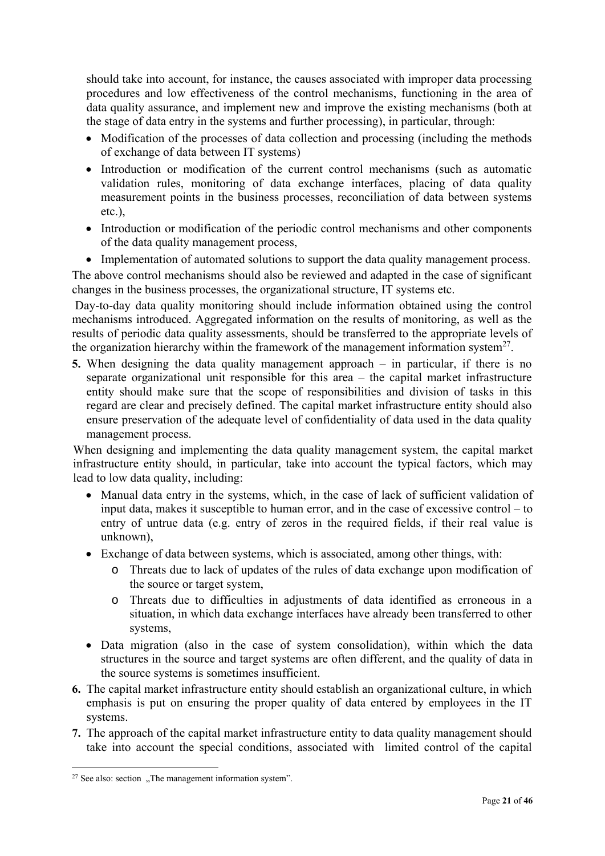should take into account, for instance, the causes associated with improper data processing procedures and low effectiveness of the control mechanisms, functioning in the area of data quality assurance, and implement new and improve the existing mechanisms (both at the stage of data entry in the systems and further processing), in particular, through:

- Modification of the processes of data collection and processing (including the methods of exchange of data between IT systems)
- Introduction or modification of the current control mechanisms (such as automatic validation rules, monitoring of data exchange interfaces, placing of data quality measurement points in the business processes, reconciliation of data between systems etc.),
- Introduction or modification of the periodic control mechanisms and other components of the data quality management process,
- Implementation of automated solutions to support the data quality management process.

The above control mechanisms should also be reviewed and adapted in the case of significant changes in the business processes, the organizational structure, IT systems etc.

 Day-to-day data quality monitoring should include information obtained using the control mechanisms introduced. Aggregated information on the results of monitoring, as well as the results of periodic data quality assessments, should be transferred to the appropriate levels of the organization hierarchy within the framework of the management information system<sup>27</sup>.

**5.** When designing the data quality management approach – in particular, if there is no separate organizational unit responsible for this area – the capital market infrastructure entity should make sure that the scope of responsibilities and division of tasks in this regard are clear and precisely defined. The capital market infrastructure entity should also ensure preservation of the adequate level of confidentiality of data used in the data quality management process.

When designing and implementing the data quality management system, the capital market infrastructure entity should, in particular, take into account the typical factors, which may lead to low data quality, including:

- Manual data entry in the systems, which, in the case of lack of sufficient validation of input data, makes it susceptible to human error, and in the case of excessive control – to entry of untrue data (e.g. entry of zeros in the required fields, if their real value is unknown),
- Exchange of data between systems, which is associated, among other things, with:
	- o Threats due to lack of updates of the rules of data exchange upon modification of the source or target system,
	- o Threats due to difficulties in adjustments of data identified as erroneous in a situation, in which data exchange interfaces have already been transferred to other systems,
- Data migration (also in the case of system consolidation), within which the data structures in the source and target systems are often different, and the quality of data in the source systems is sometimes insufficient.
- **6.** The capital market infrastructure entity should establish an organizational culture, in which emphasis is put on ensuring the proper quality of data entered by employees in the IT systems.
- **7.** The approach of the capital market infrastructure entity to data quality management should take into account the special conditions, associated with limited control of the capital

  $27$  See also: section "The management information system".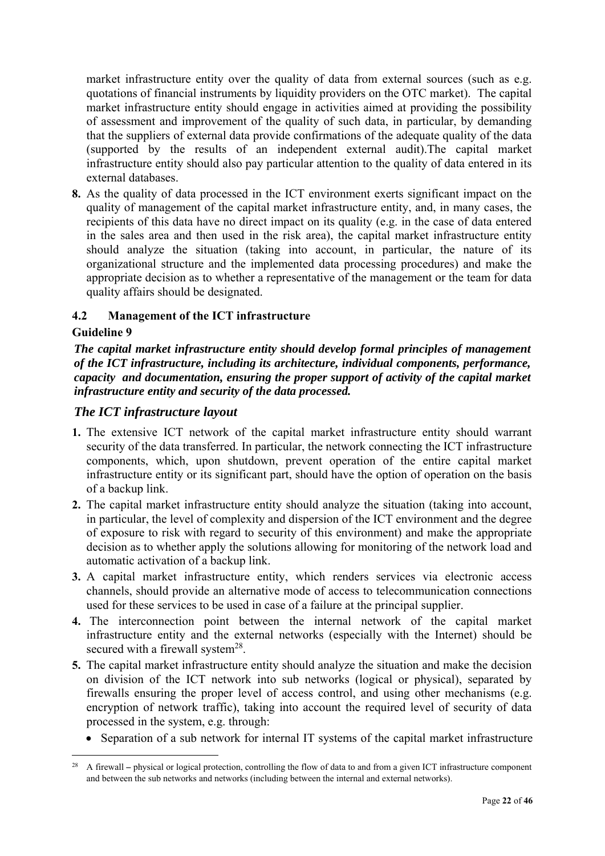market infrastructure entity over the quality of data from external sources (such as e.g. quotations of financial instruments by liquidity providers on the OTC market). The capital market infrastructure entity should engage in activities aimed at providing the possibility of assessment and improvement of the quality of such data, in particular, by demanding that the suppliers of external data provide confirmations of the adequate quality of the data (supported by the results of an independent external audit).The capital market infrastructure entity should also pay particular attention to the quality of data entered in its external databases.

**8.** As the quality of data processed in the ICT environment exerts significant impact on the quality of management of the capital market infrastructure entity, and, in many cases, the recipients of this data have no direct impact on its quality (e.g. in the case of data entered in the sales area and then used in the risk area), the capital market infrastructure entity should analyze the situation (taking into account, in particular, the nature of its organizational structure and the implemented data processing procedures) and make the appropriate decision as to whether a representative of the management or the team for data quality affairs should be designated.

## **4.2 Management of the ICT infrastructure**

## **Guideline 9**

*The capital market infrastructure entity should develop formal principles of management of the ICT infrastructure, including its architecture, individual components, performance, capacity and documentation, ensuring the proper support of activity of the capital market infrastructure entity and security of the data processed.* 

## *The ICT infrastructure layout*

- **1.** The extensive ICT network of the capital market infrastructure entity should warrant security of the data transferred. In particular, the network connecting the ICT infrastructure components, which, upon shutdown, prevent operation of the entire capital market infrastructure entity or its significant part, should have the option of operation on the basis of a backup link.
- **2.** The capital market infrastructure entity should analyze the situation (taking into account, in particular, the level of complexity and dispersion of the ICT environment and the degree of exposure to risk with regard to security of this environment) and make the appropriate decision as to whether apply the solutions allowing for monitoring of the network load and automatic activation of a backup link.
- **3.** A capital market infrastructure entity, which renders services via electronic access channels, should provide an alternative mode of access to telecommunication connections used for these services to be used in case of a failure at the principal supplier.
- **4.** The interconnection point between the internal network of the capital market infrastructure entity and the external networks (especially with the Internet) should be secured with a firewall system<sup>28</sup>.
- **5.** The capital market infrastructure entity should analyze the situation and make the decision on division of the ICT network into sub networks (logical or physical), separated by firewalls ensuring the proper level of access control, and using other mechanisms (e.g. encryption of network traffic), taking into account the required level of security of data processed in the system, e.g. through:
	- Separation of a sub network for internal IT systems of the capital market infrastructure

<sup>28</sup> A firewall *–* physical or logical protection, controlling the flow of data to and from a given ICT infrastructure component and between the sub networks and networks (including between the internal and external networks).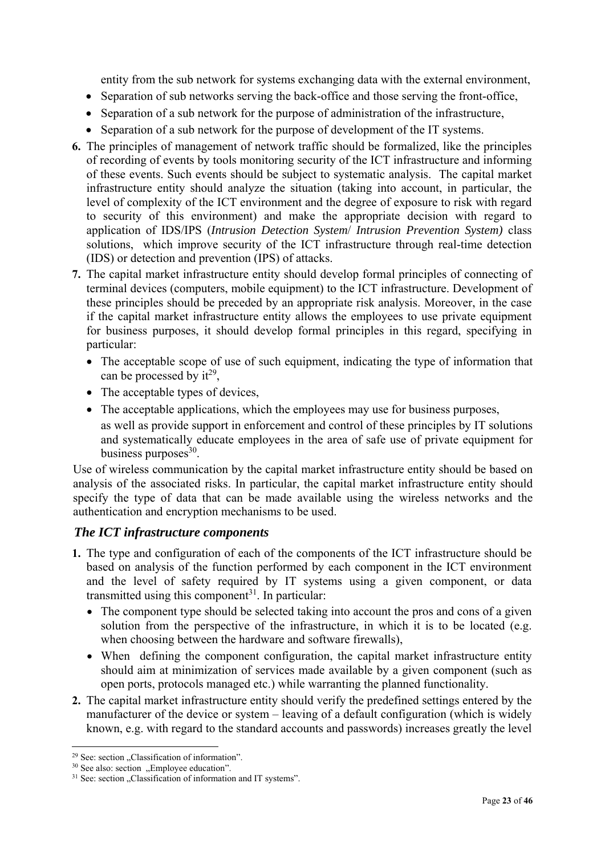entity from the sub network for systems exchanging data with the external environment,

- Separation of sub networks serving the back-office and those serving the front-office,
- Separation of a sub network for the purpose of administration of the infrastructure,
- Separation of a sub network for the purpose of development of the IT systems.
- **6.** The principles of management of network traffic should be formalized, like the principles of recording of events by tools monitoring security of the ICT infrastructure and informing of these events. Such events should be subject to systematic analysis. The capital market infrastructure entity should analyze the situation (taking into account, in particular, the level of complexity of the ICT environment and the degree of exposure to risk with regard to security of this environment) and make the appropriate decision with regard to application of IDS/IPS (*Intrusion Detection System*/ *Intrusion Prevention System)* class solutions, which improve security of the ICT infrastructure through real-time detection (IDS) or detection and prevention (IPS) of attacks.
- **7.** The capital market infrastructure entity should develop formal principles of connecting of terminal devices (computers, mobile equipment) to the ICT infrastructure. Development of these principles should be preceded by an appropriate risk analysis. Moreover, in the case if the capital market infrastructure entity allows the employees to use private equipment for business purposes, it should develop formal principles in this regard, specifying in particular:
	- The acceptable scope of use of such equipment, indicating the type of information that can be processed by  $it^{29}$ ,
	- The acceptable types of devices,
	- The acceptable applications, which the employees may use for business purposes, as well as provide support in enforcement and control of these principles by IT solutions and systematically educate employees in the area of safe use of private equipment for business purposes $30$ .

Use of wireless communication by the capital market infrastructure entity should be based on analysis of the associated risks. In particular, the capital market infrastructure entity should specify the type of data that can be made available using the wireless networks and the authentication and encryption mechanisms to be used.

# *The ICT infrastructure components*

- **1.** The type and configuration of each of the components of the ICT infrastructure should be based on analysis of the function performed by each component in the ICT environment and the level of safety required by IT systems using a given component, or data transmitted using this component<sup>31</sup>. In particular:
	- The component type should be selected taking into account the pros and cons of a given solution from the perspective of the infrastructure, in which it is to be located (e.g. when choosing between the hardware and software firewalls),
	- When defining the component configuration, the capital market infrastructure entity should aim at minimization of services made available by a given component (such as open ports, protocols managed etc.) while warranting the planned functionality.
- **2.** The capital market infrastructure entity should verify the predefined settings entered by the manufacturer of the device or system – leaving of a default configuration (which is widely known, e.g. with regard to the standard accounts and passwords) increases greatly the level

<sup>&</sup>lt;sup>29</sup> See: section "Classification of information".

 $30$  See also: section  $n$ . Employee education".

<sup>&</sup>lt;sup>31</sup> See: section . Classification of information and IT systems".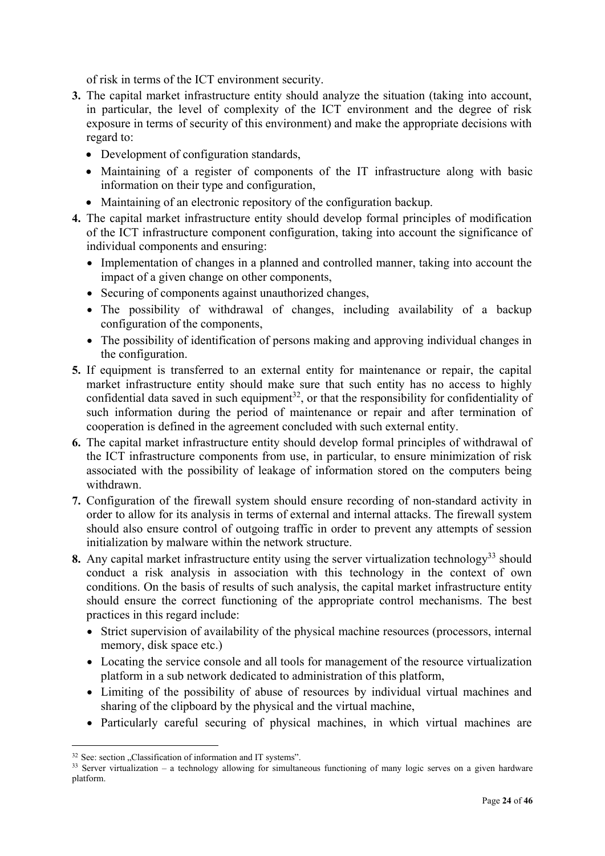of risk in terms of the ICT environment security.

- **3.** The capital market infrastructure entity should analyze the situation (taking into account, in particular, the level of complexity of the ICT environment and the degree of risk exposure in terms of security of this environment) and make the appropriate decisions with regard to:
	- Development of configuration standards,
	- Maintaining of a register of components of the IT infrastructure along with basic information on their type and configuration,
	- Maintaining of an electronic repository of the configuration backup.
- **4.** The capital market infrastructure entity should develop formal principles of modification of the ICT infrastructure component configuration, taking into account the significance of individual components and ensuring:
	- Implementation of changes in a planned and controlled manner, taking into account the impact of a given change on other components,
	- Securing of components against unauthorized changes,
	- The possibility of withdrawal of changes, including availability of a backup configuration of the components,
	- The possibility of identification of persons making and approving individual changes in the configuration.
- **5.** If equipment is transferred to an external entity for maintenance or repair, the capital market infrastructure entity should make sure that such entity has no access to highly confidential data saved in such equipment<sup>32</sup>, or that the responsibility for confidentiality of such information during the period of maintenance or repair and after termination of cooperation is defined in the agreement concluded with such external entity.
- **6.** The capital market infrastructure entity should develop formal principles of withdrawal of the ICT infrastructure components from use, in particular, to ensure minimization of risk associated with the possibility of leakage of information stored on the computers being withdrawn.
- **7.** Configuration of the firewall system should ensure recording of non-standard activity in order to allow for its analysis in terms of external and internal attacks. The firewall system should also ensure control of outgoing traffic in order to prevent any attempts of session initialization by malware within the network structure.
- **8.** Any capital market infrastructure entity using the server virtualization technology<sup>33</sup> should conduct a risk analysis in association with this technology in the context of own conditions. On the basis of results of such analysis, the capital market infrastructure entity should ensure the correct functioning of the appropriate control mechanisms. The best practices in this regard include:
	- Strict supervision of availability of the physical machine resources (processors, internal memory, disk space etc.)
	- Locating the service console and all tools for management of the resource virtualization platform in a sub network dedicated to administration of this platform,
	- Limiting of the possibility of abuse of resources by individual virtual machines and sharing of the clipboard by the physical and the virtual machine,
	- Particularly careful securing of physical machines, in which virtual machines are

<sup>&</sup>lt;sup>32</sup> See: section "Classification of information and IT systems".<br><sup>33</sup> Server virtualization – a technology allowing for simultaneous functioning of many logic serves on a given hardware platform.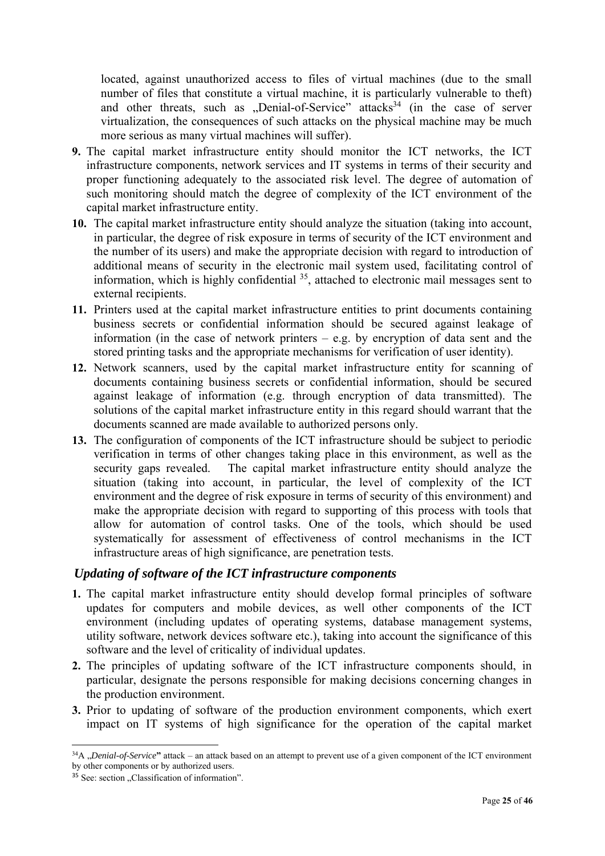located, against unauthorized access to files of virtual machines (due to the small number of files that constitute a virtual machine, it is particularly vulnerable to theft) and other threats, such as "Denial-of-Service" attacks<sup>34</sup> (in the case of server virtualization, the consequences of such attacks on the physical machine may be much more serious as many virtual machines will suffer).

- **9.** The capital market infrastructure entity should monitor the ICT networks, the ICT infrastructure components, network services and IT systems in terms of their security and proper functioning adequately to the associated risk level. The degree of automation of such monitoring should match the degree of complexity of the ICT environment of the capital market infrastructure entity.
- **10.** The capital market infrastructure entity should analyze the situation (taking into account, in particular, the degree of risk exposure in terms of security of the ICT environment and the number of its users) and make the appropriate decision with regard to introduction of additional means of security in the electronic mail system used, facilitating control of information, which is highly confidential  $35$ , attached to electronic mail messages sent to external recipients.
- **11.** Printers used at the capital market infrastructure entities to print documents containing business secrets or confidential information should be secured against leakage of information (in the case of network printers  $-$  e.g. by encryption of data sent and the stored printing tasks and the appropriate mechanisms for verification of user identity).
- **12.** Network scanners, used by the capital market infrastructure entity for scanning of documents containing business secrets or confidential information, should be secured against leakage of information (e.g. through encryption of data transmitted). The solutions of the capital market infrastructure entity in this regard should warrant that the documents scanned are made available to authorized persons only.
- **13.** The configuration of components of the ICT infrastructure should be subject to periodic verification in terms of other changes taking place in this environment, as well as the security gaps revealed. The capital market infrastructure entity should analyze the situation (taking into account, in particular, the level of complexity of the ICT environment and the degree of risk exposure in terms of security of this environment) and make the appropriate decision with regard to supporting of this process with tools that allow for automation of control tasks. One of the tools, which should be used systematically for assessment of effectiveness of control mechanisms in the ICT infrastructure areas of high significance, are penetration tests.

## *Updating of software of the ICT infrastructure components*

- **1.** The capital market infrastructure entity should develop formal principles of software updates for computers and mobile devices, as well other components of the ICT environment (including updates of operating systems, database management systems, utility software, network devices software etc.), taking into account the significance of this software and the level of criticality of individual updates.
- **2.** The principles of updating software of the ICT infrastructure components should, in particular, designate the persons responsible for making decisions concerning changes in the production environment.
- **3.** Prior to updating of software of the production environment components, which exert impact on IT systems of high significance for the operation of the capital market

<sup>&</sup>lt;sup>34</sup>A *"Denial-of-Service*" attack – an attack based on an attempt to prevent use of a given component of the ICT environment by other components or by authorized users.

 $35$  See: section  $\sqrt{2}$ Classification of information".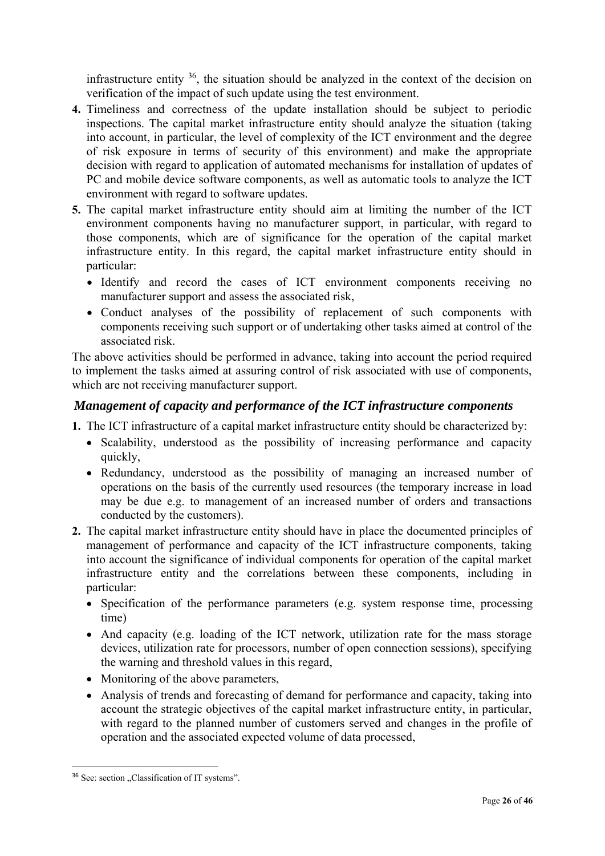infrastructure entity  $36$ , the situation should be analyzed in the context of the decision on verification of the impact of such update using the test environment.

- **4.** Timeliness and correctness of the update installation should be subject to periodic inspections. The capital market infrastructure entity should analyze the situation (taking into account, in particular, the level of complexity of the ICT environment and the degree of risk exposure in terms of security of this environment) and make the appropriate decision with regard to application of automated mechanisms for installation of updates of PC and mobile device software components, as well as automatic tools to analyze the ICT environment with regard to software updates.
- **5.** The capital market infrastructure entity should aim at limiting the number of the ICT environment components having no manufacturer support, in particular, with regard to those components, which are of significance for the operation of the capital market infrastructure entity. In this regard, the capital market infrastructure entity should in particular:
	- Identify and record the cases of ICT environment components receiving no manufacturer support and assess the associated risk,
	- Conduct analyses of the possibility of replacement of such components with components receiving such support or of undertaking other tasks aimed at control of the associated risk.

The above activities should be performed in advance, taking into account the period required to implement the tasks aimed at assuring control of risk associated with use of components, which are not receiving manufacturer support.

# *Management of capacity and performance of the ICT infrastructure components*

- **1.** The ICT infrastructure of a capital market infrastructure entity should be characterized by:
	- Scalability, understood as the possibility of increasing performance and capacity quickly,
	- Redundancy, understood as the possibility of managing an increased number of operations on the basis of the currently used resources (the temporary increase in load may be due e.g. to management of an increased number of orders and transactions conducted by the customers).
- **2.** The capital market infrastructure entity should have in place the documented principles of management of performance and capacity of the ICT infrastructure components, taking into account the significance of individual components for operation of the capital market infrastructure entity and the correlations between these components, including in particular:
	- Specification of the performance parameters (e.g. system response time, processing time)
	- And capacity (e.g. loading of the ICT network, utilization rate for the mass storage devices, utilization rate for processors, number of open connection sessions), specifying the warning and threshold values in this regard,
	- Monitoring of the above parameters,
	- Analysis of trends and forecasting of demand for performance and capacity, taking into account the strategic objectives of the capital market infrastructure entity, in particular, with regard to the planned number of customers served and changes in the profile of operation and the associated expected volume of data processed,

<sup>&</sup>lt;sup>36</sup> See: section "Classification of IT systems".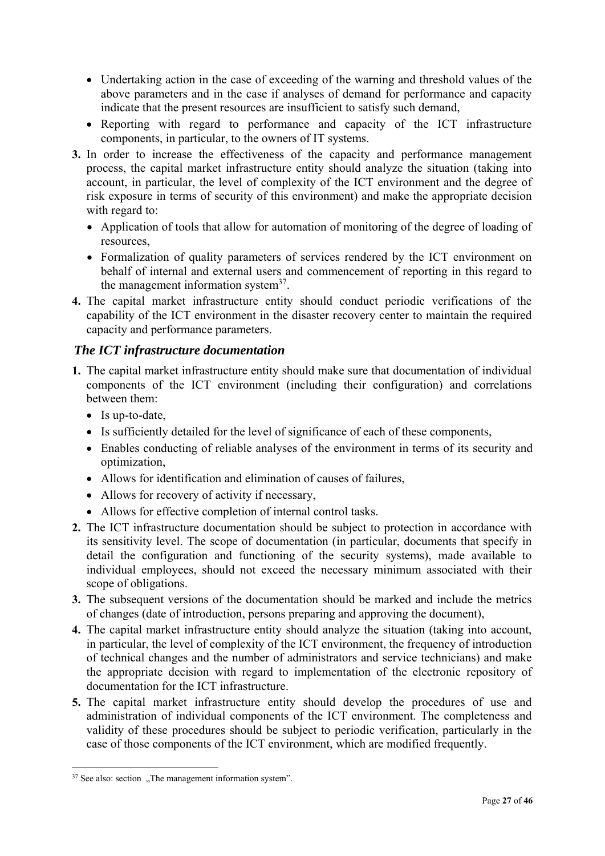- Undertaking action in the case of exceeding of the warning and threshold values of the above parameters and in the case if analyses of demand for performance and capacity indicate that the present resources are insufficient to satisfy such demand,
- Reporting with regard to performance and capacity of the ICT infrastructure components, in particular, to the owners of IT systems.
- **3.** In order to increase the effectiveness of the capacity and performance management process, the capital market infrastructure entity should analyze the situation (taking into account, in particular, the level of complexity of the ICT environment and the degree of risk exposure in terms of security of this environment) and make the appropriate decision with regard to:
	- Application of tools that allow for automation of monitoring of the degree of loading of resources,
	- Formalization of quality parameters of services rendered by the ICT environment on behalf of internal and external users and commencement of reporting in this regard to the management information system $37$ .
- **4.** The capital market infrastructure entity should conduct periodic verifications of the capability of the ICT environment in the disaster recovery center to maintain the required capacity and performance parameters.

# *The ICT infrastructure documentation*

- **1.** The capital market infrastructure entity should make sure that documentation of individual components of the ICT environment (including their configuration) and correlations between them:
	- Is up-to-date,
	- Is sufficiently detailed for the level of significance of each of these components,
	- Enables conducting of reliable analyses of the environment in terms of its security and optimization,
	- Allows for identification and elimination of causes of failures,
	- Allows for recovery of activity if necessary,
	- Allows for effective completion of internal control tasks.
- **2.** The ICT infrastructure documentation should be subject to protection in accordance with its sensitivity level. The scope of documentation (in particular, documents that specify in detail the configuration and functioning of the security systems), made available to individual employees, should not exceed the necessary minimum associated with their scope of obligations.
- **3.** The subsequent versions of the documentation should be marked and include the metrics of changes (date of introduction, persons preparing and approving the document),
- **4.** The capital market infrastructure entity should analyze the situation (taking into account, in particular, the level of complexity of the ICT environment, the frequency of introduction of technical changes and the number of administrators and service technicians) and make the appropriate decision with regard to implementation of the electronic repository of documentation for the ICT infrastructure.
- **5.** The capital market infrastructure entity should develop the procedures of use and administration of individual components of the ICT environment. The completeness and validity of these procedures should be subject to periodic verification, particularly in the case of those components of the ICT environment, which are modified frequently.

  $37$  See also: section  $n$ , The management information system".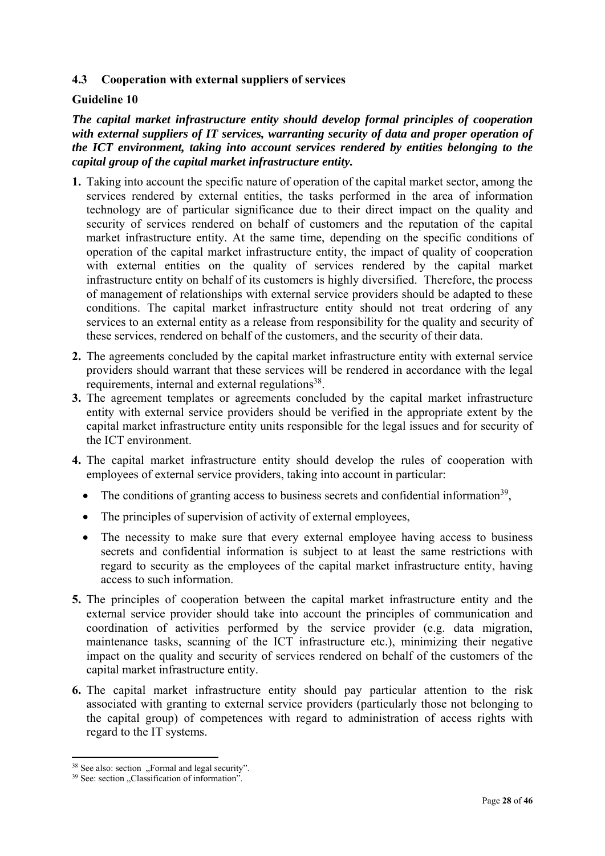## **4.3 Cooperation with external suppliers of services**

#### **Guideline 10**

*The capital market infrastructure entity should develop formal principles of cooperation with external suppliers of IT services, warranting security of data and proper operation of the ICT environment, taking into account services rendered by entities belonging to the capital group of the capital market infrastructure entity.* 

- **1.** Taking into account the specific nature of operation of the capital market sector, among the services rendered by external entities, the tasks performed in the area of information technology are of particular significance due to their direct impact on the quality and security of services rendered on behalf of customers and the reputation of the capital market infrastructure entity. At the same time, depending on the specific conditions of operation of the capital market infrastructure entity, the impact of quality of cooperation with external entities on the quality of services rendered by the capital market infrastructure entity on behalf of its customers is highly diversified. Therefore, the process of management of relationships with external service providers should be adapted to these conditions. The capital market infrastructure entity should not treat ordering of any services to an external entity as a release from responsibility for the quality and security of these services, rendered on behalf of the customers, and the security of their data.
- **2.** The agreements concluded by the capital market infrastructure entity with external service providers should warrant that these services will be rendered in accordance with the legal requirements, internal and external regulations<sup>38</sup>.
- **3.** The agreement templates or agreements concluded by the capital market infrastructure entity with external service providers should be verified in the appropriate extent by the capital market infrastructure entity units responsible for the legal issues and for security of the ICT environment.
- **4.** The capital market infrastructure entity should develop the rules of cooperation with employees of external service providers, taking into account in particular:
	- $\bullet$  The conditions of granting access to business secrets and confidential information<sup>39</sup>.
	- The principles of supervision of activity of external employees,
	- The necessity to make sure that every external employee having access to business secrets and confidential information is subject to at least the same restrictions with regard to security as the employees of the capital market infrastructure entity, having access to such information.
- **5.** The principles of cooperation between the capital market infrastructure entity and the external service provider should take into account the principles of communication and coordination of activities performed by the service provider (e.g. data migration, maintenance tasks, scanning of the ICT infrastructure etc.), minimizing their negative impact on the quality and security of services rendered on behalf of the customers of the capital market infrastructure entity.
- **6.** The capital market infrastructure entity should pay particular attention to the risk associated with granting to external service providers (particularly those not belonging to the capital group) of competences with regard to administration of access rights with regard to the IT systems.

<sup>&</sup>lt;sup>38</sup> See also: section "Formal and legal security".

 $39$  See: section . Classification of information".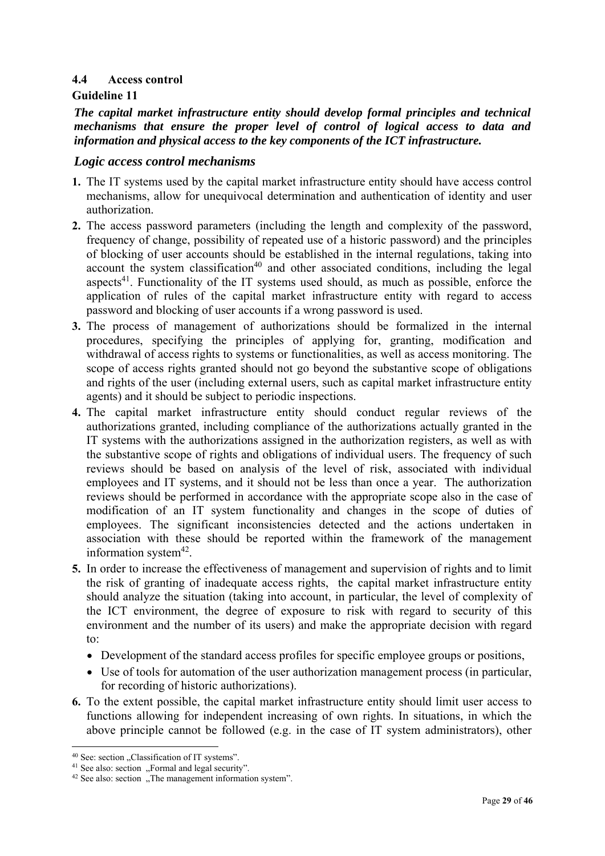## **4.4 Access control**

## **Guideline 11**

## *The capital market infrastructure entity should develop formal principles and technical mechanisms that ensure the proper level of control of logical access to data and information and physical access to the key components of the ICT infrastructure.*

#### *Logic access control mechanisms*

- **1.** The IT systems used by the capital market infrastructure entity should have access control mechanisms, allow for unequivocal determination and authentication of identity and user authorization.
- **2.** The access password parameters (including the length and complexity of the password, frequency of change, possibility of repeated use of a historic password) and the principles of blocking of user accounts should be established in the internal regulations, taking into account the system classification<sup>40</sup> and other associated conditions, including the legal aspects<sup>41</sup>. Functionality of the IT systems used should, as much as possible, enforce the application of rules of the capital market infrastructure entity with regard to access password and blocking of user accounts if a wrong password is used.
- **3.** The process of management of authorizations should be formalized in the internal procedures, specifying the principles of applying for, granting, modification and withdrawal of access rights to systems or functionalities, as well as access monitoring. The scope of access rights granted should not go beyond the substantive scope of obligations and rights of the user (including external users, such as capital market infrastructure entity agents) and it should be subject to periodic inspections.
- **4.** The capital market infrastructure entity should conduct regular reviews of the authorizations granted, including compliance of the authorizations actually granted in the IT systems with the authorizations assigned in the authorization registers, as well as with the substantive scope of rights and obligations of individual users. The frequency of such reviews should be based on analysis of the level of risk, associated with individual employees and IT systems, and it should not be less than once a year. The authorization reviews should be performed in accordance with the appropriate scope also in the case of modification of an IT system functionality and changes in the scope of duties of employees. The significant inconsistencies detected and the actions undertaken in association with these should be reported within the framework of the management information system $42$ .
- **5.** In order to increase the effectiveness of management and supervision of rights and to limit the risk of granting of inadequate access rights, the capital market infrastructure entity should analyze the situation (taking into account, in particular, the level of complexity of the ICT environment, the degree of exposure to risk with regard to security of this environment and the number of its users) and make the appropriate decision with regard to:
	- Development of the standard access profiles for specific employee groups or positions,
	- Use of tools for automation of the user authorization management process (in particular, for recording of historic authorizations).
- **6.** To the extent possible, the capital market infrastructure entity should limit user access to functions allowing for independent increasing of own rights. In situations, in which the above principle cannot be followed (e.g. in the case of IT system administrators), other

<sup>&</sup>lt;sup>40</sup> See: section "Classification of IT systems".

<sup>&</sup>lt;sup>41</sup> See also: section "Formal and legal security".

<sup>&</sup>lt;sup>42</sup> See also: section "The management information system".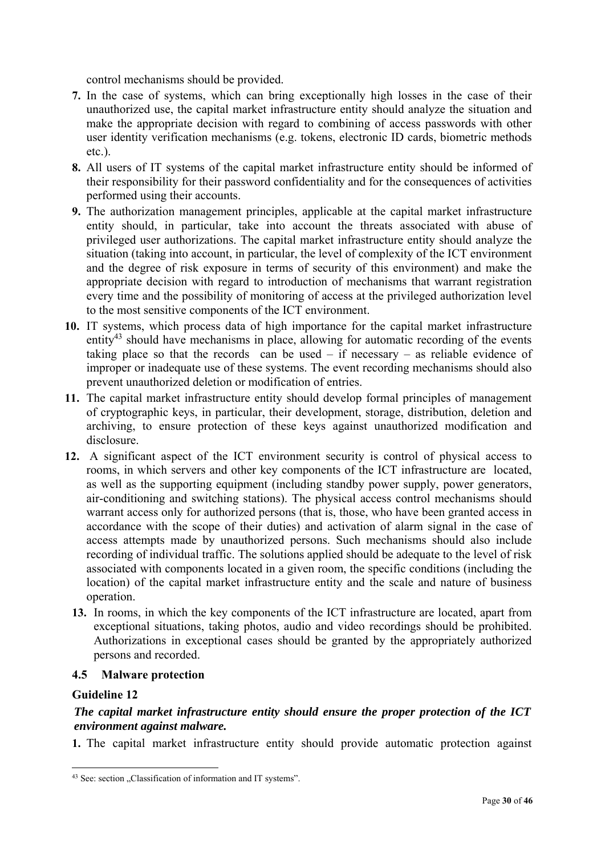control mechanisms should be provided.

- **7.** In the case of systems, which can bring exceptionally high losses in the case of their unauthorized use, the capital market infrastructure entity should analyze the situation and make the appropriate decision with regard to combining of access passwords with other user identity verification mechanisms (e.g. tokens, electronic ID cards, biometric methods etc.).
- **8.** All users of IT systems of the capital market infrastructure entity should be informed of their responsibility for their password confidentiality and for the consequences of activities performed using their accounts.
- **9.** The authorization management principles, applicable at the capital market infrastructure entity should, in particular, take into account the threats associated with abuse of privileged user authorizations. The capital market infrastructure entity should analyze the situation (taking into account, in particular, the level of complexity of the ICT environment and the degree of risk exposure in terms of security of this environment) and make the appropriate decision with regard to introduction of mechanisms that warrant registration every time and the possibility of monitoring of access at the privileged authorization level to the most sensitive components of the ICT environment.
- **10.** IT systems, which process data of high importance for the capital market infrastructure entity<sup>43</sup> should have mechanisms in place, allowing for automatic recording of the events taking place so that the records can be used  $-$  if necessary  $-$  as reliable evidence of improper or inadequate use of these systems. The event recording mechanisms should also prevent unauthorized deletion or modification of entries.
- **11.** The capital market infrastructure entity should develop formal principles of management of cryptographic keys, in particular, their development, storage, distribution, deletion and archiving, to ensure protection of these keys against unauthorized modification and disclosure.
- **12.** A significant aspect of the ICT environment security is control of physical access to rooms, in which servers and other key components of the ICT infrastructure are located, as well as the supporting equipment (including standby power supply, power generators, air-conditioning and switching stations). The physical access control mechanisms should warrant access only for authorized persons (that is, those, who have been granted access in accordance with the scope of their duties) and activation of alarm signal in the case of access attempts made by unauthorized persons. Such mechanisms should also include recording of individual traffic. The solutions applied should be adequate to the level of risk associated with components located in a given room, the specific conditions (including the location) of the capital market infrastructure entity and the scale and nature of business operation.
	- **13.** In rooms, in which the key components of the ICT infrastructure are located, apart from exceptional situations, taking photos, audio and video recordings should be prohibited. Authorizations in exceptional cases should be granted by the appropriately authorized persons and recorded.

## **4.5 Malware protection**

#### **Guideline 12**

## *The capital market infrastructure entity should ensure the proper protection of the ICT environment against malware.*

**1.** The capital market infrastructure entity should provide automatic protection against

 <sup>43</sup> See: section "Classification of information and IT systems".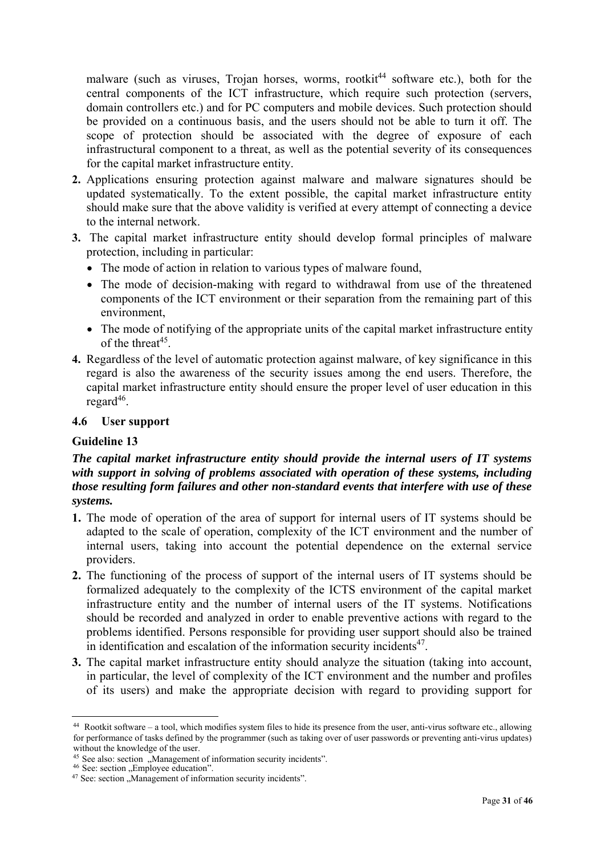malware (such as viruses, Trojan horses, worms, rootkit<sup>44</sup> software etc.), both for the central components of the ICT infrastructure, which require such protection (servers, domain controllers etc.) and for PC computers and mobile devices. Such protection should be provided on a continuous basis, and the users should not be able to turn it off. The scope of protection should be associated with the degree of exposure of each infrastructural component to a threat, as well as the potential severity of its consequences for the capital market infrastructure entity.

- **2.** Applications ensuring protection against malware and malware signatures should be updated systematically. To the extent possible, the capital market infrastructure entity should make sure that the above validity is verified at every attempt of connecting a device to the internal network.
- **3.** The capital market infrastructure entity should develop formal principles of malware protection, including in particular:
	- The mode of action in relation to various types of malware found,
	- The mode of decision-making with regard to withdrawal from use of the threatened components of the ICT environment or their separation from the remaining part of this environment,
	- The mode of notifying of the appropriate units of the capital market infrastructure entity of the threat $45$
- **4.** Regardless of the level of automatic protection against malware, of key significance in this regard is also the awareness of the security issues among the end users. Therefore, the capital market infrastructure entity should ensure the proper level of user education in this regard $46$ .

## **4.6 User support**

#### **Guideline 13**

## *The capital market infrastructure entity should provide the internal users of IT systems with support in solving of problems associated with operation of these systems, including those resulting form failures and other non-standard events that interfere with use of these systems.*

- **1.** The mode of operation of the area of support for internal users of IT systems should be adapted to the scale of operation, complexity of the ICT environment and the number of internal users, taking into account the potential dependence on the external service providers.
- **2.** The functioning of the process of support of the internal users of IT systems should be formalized adequately to the complexity of the ICTS environment of the capital market infrastructure entity and the number of internal users of the IT systems. Notifications should be recorded and analyzed in order to enable preventive actions with regard to the problems identified. Persons responsible for providing user support should also be trained in identification and escalation of the information security incidents $47$ .
- **3.** The capital market infrastructure entity should analyze the situation (taking into account, in particular, the level of complexity of the ICT environment and the number and profiles of its users) and make the appropriate decision with regard to providing support for

 <sup>44</sup> Rootkit software – a tool, which modifies system files to hide its presence from the user, anti-virus software etc., allowing for performance of tasks defined by the programmer (such as taking over of user passwords or preventing anti-virus updates) without the knowledge of the user.

<sup>45</sup> See also: section  $\mu$ Management of information security incidents".<br>
<sup>46</sup> See: section  $\mu$ Employee education".<br>
<sup>47</sup> See: section  $\mu$ Management of information security incidents".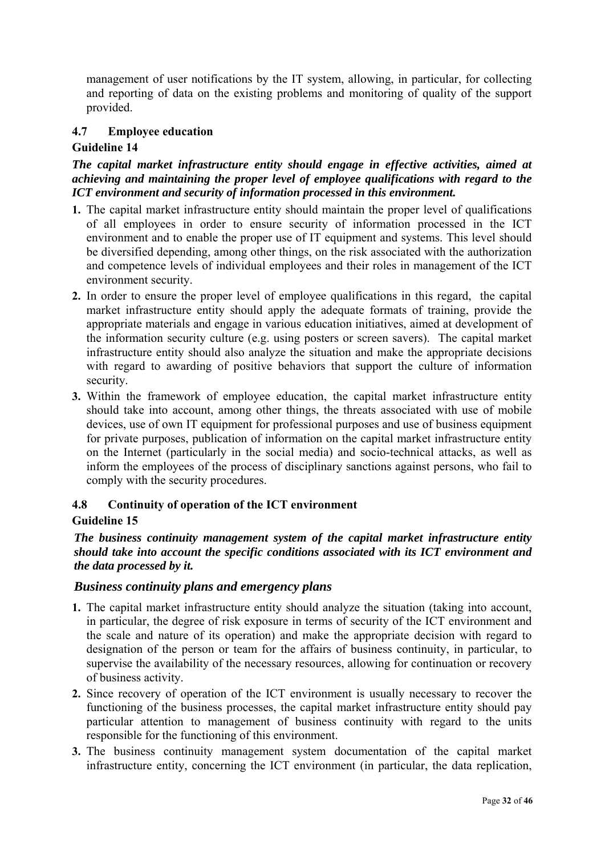management of user notifications by the IT system, allowing, in particular, for collecting and reporting of data on the existing problems and monitoring of quality of the support provided.

## **4.7 Employee education**

## **Guideline 14**

*The capital market infrastructure entity should engage in effective activities, aimed at achieving and maintaining the proper level of employee qualifications with regard to the ICT environment and security of information processed in this environment.* 

- **1.** The capital market infrastructure entity should maintain the proper level of qualifications of all employees in order to ensure security of information processed in the ICT environment and to enable the proper use of IT equipment and systems. This level should be diversified depending, among other things, on the risk associated with the authorization and competence levels of individual employees and their roles in management of the ICT environment security.
- **2.** In order to ensure the proper level of employee qualifications in this regard, the capital market infrastructure entity should apply the adequate formats of training, provide the appropriate materials and engage in various education initiatives, aimed at development of the information security culture (e.g. using posters or screen savers). The capital market infrastructure entity should also analyze the situation and make the appropriate decisions with regard to awarding of positive behaviors that support the culture of information security.
- **3.** Within the framework of employee education, the capital market infrastructure entity should take into account, among other things, the threats associated with use of mobile devices, use of own IT equipment for professional purposes and use of business equipment for private purposes, publication of information on the capital market infrastructure entity on the Internet (particularly in the social media) and socio-technical attacks, as well as inform the employees of the process of disciplinary sanctions against persons, who fail to comply with the security procedures.

## **4.8 Continuity of operation of the ICT environment**

## **Guideline 15**

## *The business continuity management system of the capital market infrastructure entity should take into account the specific conditions associated with its ICT environment and the data processed by it.*

## *Business continuity plans and emergency plans*

- **1.** The capital market infrastructure entity should analyze the situation (taking into account, in particular, the degree of risk exposure in terms of security of the ICT environment and the scale and nature of its operation) and make the appropriate decision with regard to designation of the person or team for the affairs of business continuity, in particular, to supervise the availability of the necessary resources, allowing for continuation or recovery of business activity.
- **2.** Since recovery of operation of the ICT environment is usually necessary to recover the functioning of the business processes, the capital market infrastructure entity should pay particular attention to management of business continuity with regard to the units responsible for the functioning of this environment.
- **3.** The business continuity management system documentation of the capital market infrastructure entity, concerning the ICT environment (in particular, the data replication,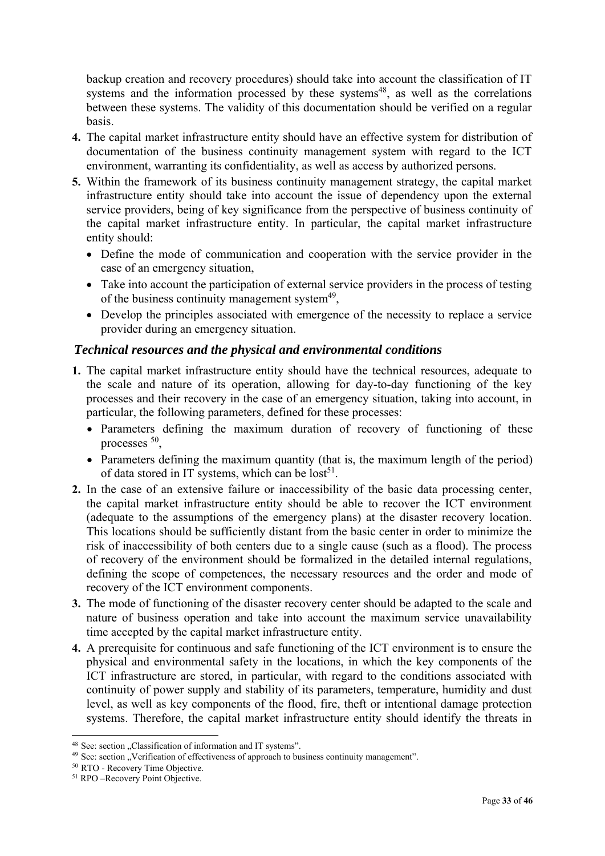backup creation and recovery procedures) should take into account the classification of IT systems and the information processed by these systems<sup>48</sup>, as well as the correlations between these systems. The validity of this documentation should be verified on a regular basis.

- **4.** The capital market infrastructure entity should have an effective system for distribution of documentation of the business continuity management system with regard to the ICT environment, warranting its confidentiality, as well as access by authorized persons.
- **5.** Within the framework of its business continuity management strategy, the capital market infrastructure entity should take into account the issue of dependency upon the external service providers, being of key significance from the perspective of business continuity of the capital market infrastructure entity. In particular, the capital market infrastructure entity should:
	- Define the mode of communication and cooperation with the service provider in the case of an emergency situation,
	- Take into account the participation of external service providers in the process of testing of the business continuity management system $49$ ,
	- Develop the principles associated with emergence of the necessity to replace a service provider during an emergency situation.

# *Technical resources and the physical and environmental conditions*

- **1.** The capital market infrastructure entity should have the technical resources, adequate to the scale and nature of its operation, allowing for day-to-day functioning of the key processes and their recovery in the case of an emergency situation, taking into account, in particular, the following parameters, defined for these processes:
	- Parameters defining the maximum duration of recovery of functioning of these processes  $50$ .
	- Parameters defining the maximum quantity (that is, the maximum length of the period) of data stored in IT systems, which can be  $\text{lost}^{51}$ .
- **2.** In the case of an extensive failure or inaccessibility of the basic data processing center, the capital market infrastructure entity should be able to recover the ICT environment (adequate to the assumptions of the emergency plans) at the disaster recovery location. This locations should be sufficiently distant from the basic center in order to minimize the risk of inaccessibility of both centers due to a single cause (such as a flood). The process of recovery of the environment should be formalized in the detailed internal regulations, defining the scope of competences, the necessary resources and the order and mode of recovery of the ICT environment components.
- **3.** The mode of functioning of the disaster recovery center should be adapted to the scale and nature of business operation and take into account the maximum service unavailability time accepted by the capital market infrastructure entity.
- **4.** A prerequisite for continuous and safe functioning of the ICT environment is to ensure the physical and environmental safety in the locations, in which the key components of the ICT infrastructure are stored, in particular, with regard to the conditions associated with continuity of power supply and stability of its parameters, temperature, humidity and dust level, as well as key components of the flood, fire, theft or intentional damage protection systems. Therefore, the capital market infrastructure entity should identify the threats in

<sup>&</sup>lt;sup>48</sup> See: section "Classification of information and IT systems".

<sup>&</sup>lt;sup>49</sup> See: section "Verification of effectiveness of approach to business continuity management". <sup>50</sup> RTO - Recovery Time Objective.

<sup>51</sup> RPO –Recovery Point Objective.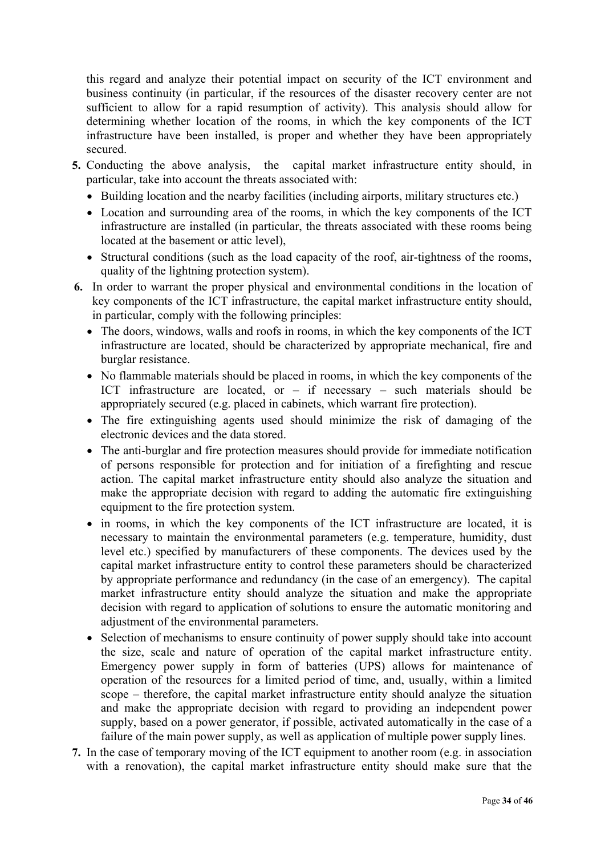this regard and analyze their potential impact on security of the ICT environment and business continuity (in particular, if the resources of the disaster recovery center are not sufficient to allow for a rapid resumption of activity). This analysis should allow for determining whether location of the rooms, in which the key components of the ICT infrastructure have been installed, is proper and whether they have been appropriately secured.

- **5.** Conducting the above analysis, the capital market infrastructure entity should, in particular, take into account the threats associated with:
	- Building location and the nearby facilities (including airports, military structures etc.)
	- Location and surrounding area of the rooms, in which the key components of the ICT infrastructure are installed (in particular, the threats associated with these rooms being located at the basement or attic level),
	- Structural conditions (such as the load capacity of the roof, air-tightness of the rooms, quality of the lightning protection system).
- **6.** In order to warrant the proper physical and environmental conditions in the location of key components of the ICT infrastructure, the capital market infrastructure entity should, in particular, comply with the following principles:
	- The doors, windows, walls and roofs in rooms, in which the key components of the ICT infrastructure are located, should be characterized by appropriate mechanical, fire and burglar resistance.
	- No flammable materials should be placed in rooms, in which the key components of the ICT infrastructure are located, or  $-$  if necessary  $-$  such materials should be appropriately secured (e.g. placed in cabinets, which warrant fire protection).
	- The fire extinguishing agents used should minimize the risk of damaging of the electronic devices and the data stored.
	- The anti-burglar and fire protection measures should provide for immediate notification of persons responsible for protection and for initiation of a firefighting and rescue action. The capital market infrastructure entity should also analyze the situation and make the appropriate decision with regard to adding the automatic fire extinguishing equipment to the fire protection system.
	- in rooms, in which the key components of the ICT infrastructure are located, it is necessary to maintain the environmental parameters (e.g. temperature, humidity, dust level etc.) specified by manufacturers of these components. The devices used by the capital market infrastructure entity to control these parameters should be characterized by appropriate performance and redundancy (in the case of an emergency). The capital market infrastructure entity should analyze the situation and make the appropriate decision with regard to application of solutions to ensure the automatic monitoring and adjustment of the environmental parameters.
	- Selection of mechanisms to ensure continuity of power supply should take into account the size, scale and nature of operation of the capital market infrastructure entity. Emergency power supply in form of batteries (UPS) allows for maintenance of operation of the resources for a limited period of time, and, usually, within a limited scope – therefore, the capital market infrastructure entity should analyze the situation and make the appropriate decision with regard to providing an independent power supply, based on a power generator, if possible, activated automatically in the case of a failure of the main power supply, as well as application of multiple power supply lines.
- **7.** In the case of temporary moving of the ICT equipment to another room (e.g. in association with a renovation), the capital market infrastructure entity should make sure that the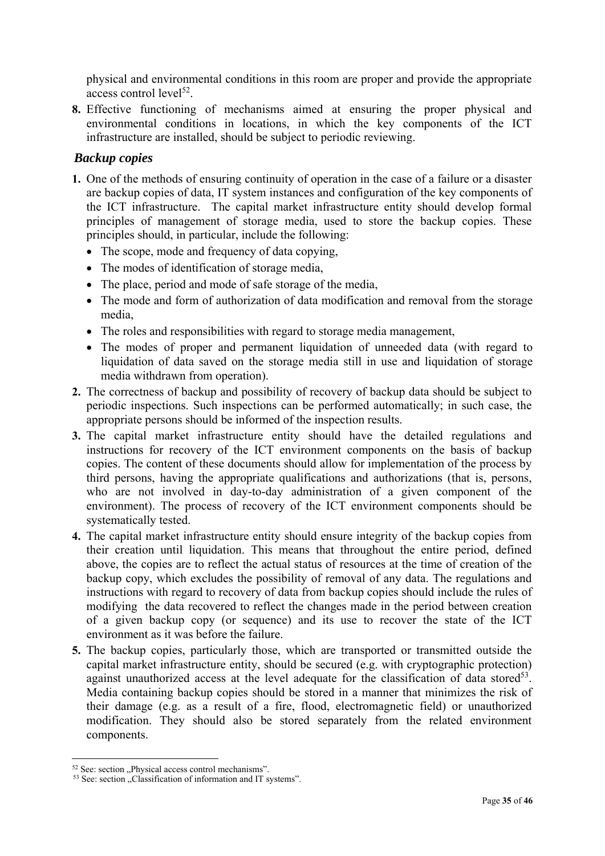physical and environmental conditions in this room are proper and provide the appropriate access control level<sup>52</sup>.

**8.** Effective functioning of mechanisms aimed at ensuring the proper physical and environmental conditions in locations, in which the key components of the ICT infrastructure are installed, should be subject to periodic reviewing.

# *Backup copies*

- **1.** One of the methods of ensuring continuity of operation in the case of a failure or a disaster are backup copies of data, IT system instances and configuration of the key components of the ICT infrastructure. The capital market infrastructure entity should develop formal principles of management of storage media, used to store the backup copies. These principles should, in particular, include the following:
	- The scope, mode and frequency of data copying,
	- The modes of identification of storage media,
	- The place, period and mode of safe storage of the media,
	- The mode and form of authorization of data modification and removal from the storage media,
	- The roles and responsibilities with regard to storage media management,
	- The modes of proper and permanent liquidation of unneeded data (with regard to liquidation of data saved on the storage media still in use and liquidation of storage media withdrawn from operation).
- **2.** The correctness of backup and possibility of recovery of backup data should be subject to periodic inspections. Such inspections can be performed automatically; in such case, the appropriate persons should be informed of the inspection results.
- **3.** The capital market infrastructure entity should have the detailed regulations and instructions for recovery of the ICT environment components on the basis of backup copies. The content of these documents should allow for implementation of the process by third persons, having the appropriate qualifications and authorizations (that is, persons, who are not involved in day-to-day administration of a given component of the environment). The process of recovery of the ICT environment components should be systematically tested.
- **4.** The capital market infrastructure entity should ensure integrity of the backup copies from their creation until liquidation. This means that throughout the entire period, defined above, the copies are to reflect the actual status of resources at the time of creation of the backup copy, which excludes the possibility of removal of any data. The regulations and instructions with regard to recovery of data from backup copies should include the rules of modifying the data recovered to reflect the changes made in the period between creation of a given backup copy (or sequence) and its use to recover the state of the ICT environment as it was before the failure.
- **5.** The backup copies, particularly those, which are transported or transmitted outside the capital market infrastructure entity, should be secured (e.g. with cryptographic protection) against unauthorized access at the level adequate for the classification of data stored<sup>53</sup>. Media containing backup copies should be stored in a manner that minimizes the risk of their damage (e.g. as a result of a fire, flood, electromagnetic field) or unauthorized modification. They should also be stored separately from the related environment components.

  $52$  See: section "Physical access control mechanisms".

<sup>&</sup>lt;sup>53</sup> See: section "Classification of information and IT systems".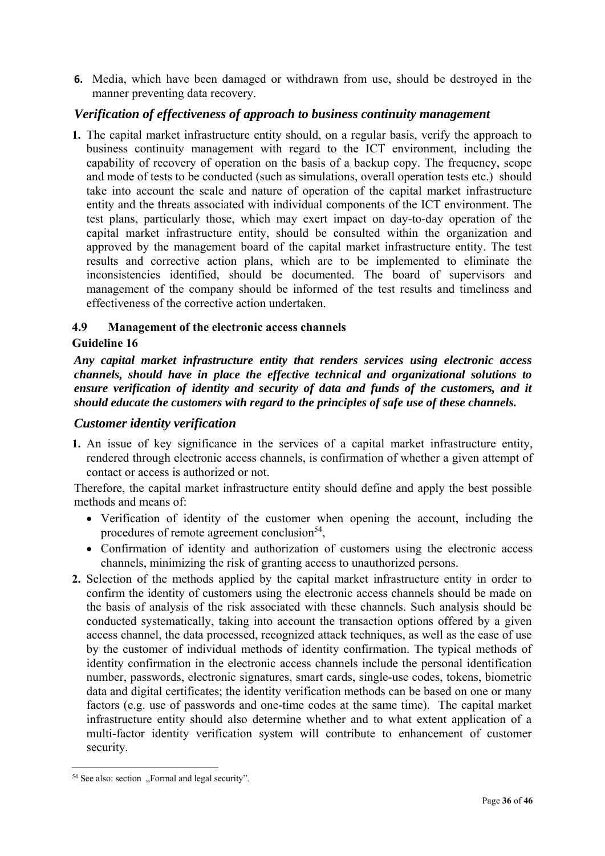**6.** Media, which have been damaged or withdrawn from use, should be destroyed in the manner preventing data recovery.

# *Verification of effectiveness of approach to business continuity management*

**1.** The capital market infrastructure entity should, on a regular basis, verify the approach to business continuity management with regard to the ICT environment, including the capability of recovery of operation on the basis of a backup copy. The frequency, scope and mode of tests to be conducted (such as simulations, overall operation tests etc.) should take into account the scale and nature of operation of the capital market infrastructure entity and the threats associated with individual components of the ICT environment. The test plans, particularly those, which may exert impact on day-to-day operation of the capital market infrastructure entity, should be consulted within the organization and approved by the management board of the capital market infrastructure entity. The test results and corrective action plans, which are to be implemented to eliminate the inconsistencies identified, should be documented. The board of supervisors and management of the company should be informed of the test results and timeliness and effectiveness of the corrective action undertaken.

# **4.9 Management of the electronic access channels**

## **Guideline 16**

*Any capital market infrastructure entity that renders services using electronic access channels, should have in place the effective technical and organizational solutions to ensure verification of identity and security of data and funds of the customers, and it should educate the customers with regard to the principles of safe use of these channels.* 

## *Customer identity verification*

**1.** An issue of key significance in the services of a capital market infrastructure entity, rendered through electronic access channels, is confirmation of whether a given attempt of contact or access is authorized or not.

Therefore, the capital market infrastructure entity should define and apply the best possible methods and means of:

- Verification of identity of the customer when opening the account, including the procedures of remote agreement conclusion<sup>54</sup>,
- Confirmation of identity and authorization of customers using the electronic access channels, minimizing the risk of granting access to unauthorized persons.
- **2.** Selection of the methods applied by the capital market infrastructure entity in order to confirm the identity of customers using the electronic access channels should be made on the basis of analysis of the risk associated with these channels. Such analysis should be conducted systematically, taking into account the transaction options offered by a given access channel, the data processed, recognized attack techniques, as well as the ease of use by the customer of individual methods of identity confirmation. The typical methods of identity confirmation in the electronic access channels include the personal identification number, passwords, electronic signatures, smart cards, single-use codes, tokens, biometric data and digital certificates; the identity verification methods can be based on one or many factors (e.g. use of passwords and one-time codes at the same time). The capital market infrastructure entity should also determine whether and to what extent application of a multi-factor identity verification system will contribute to enhancement of customer security.

 <sup>54</sup> See also: section "Formal and legal security".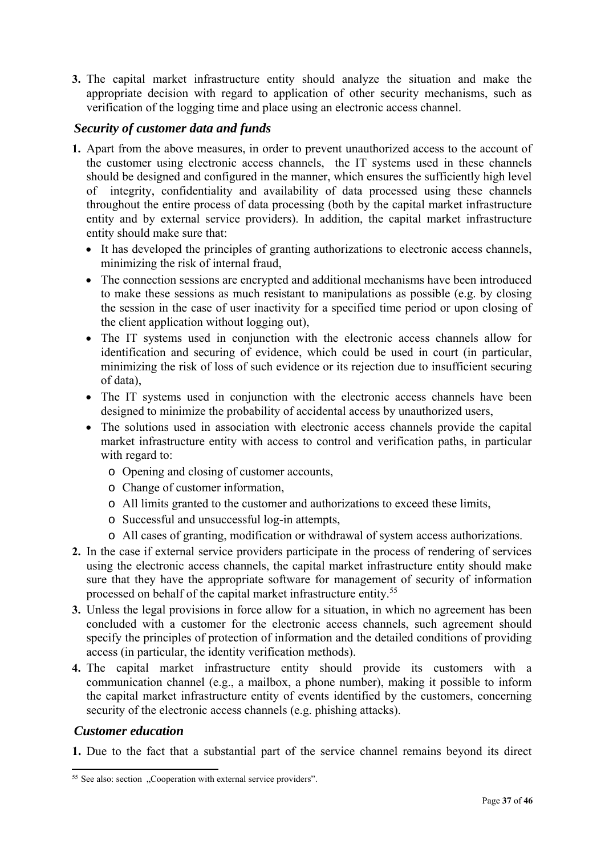**3.** The capital market infrastructure entity should analyze the situation and make the appropriate decision with regard to application of other security mechanisms, such as verification of the logging time and place using an electronic access channel.

# *Security of customer data and funds*

- **1.** Apart from the above measures, in order to prevent unauthorized access to the account of the customer using electronic access channels, the IT systems used in these channels should be designed and configured in the manner, which ensures the sufficiently high level of integrity, confidentiality and availability of data processed using these channels throughout the entire process of data processing (both by the capital market infrastructure entity and by external service providers). In addition, the capital market infrastructure entity should make sure that:
	- It has developed the principles of granting authorizations to electronic access channels, minimizing the risk of internal fraud,
	- The connection sessions are encrypted and additional mechanisms have been introduced to make these sessions as much resistant to manipulations as possible (e.g. by closing the session in the case of user inactivity for a specified time period or upon closing of the client application without logging out),
	- The IT systems used in conjunction with the electronic access channels allow for identification and securing of evidence, which could be used in court (in particular, minimizing the risk of loss of such evidence or its rejection due to insufficient securing of data),
	- The IT systems used in conjunction with the electronic access channels have been designed to minimize the probability of accidental access by unauthorized users,
	- The solutions used in association with electronic access channels provide the capital market infrastructure entity with access to control and verification paths, in particular with regard to:
		- o Opening and closing of customer accounts,
		- o Change of customer information,
		- o All limits granted to the customer and authorizations to exceed these limits,
		- o Successful and unsuccessful log-in attempts,
		- o All cases of granting, modification or withdrawal of system access authorizations.
- **2.** In the case if external service providers participate in the process of rendering of services using the electronic access channels, the capital market infrastructure entity should make sure that they have the appropriate software for management of security of information processed on behalf of the capital market infrastructure entity.<sup>55</sup>
- **3.** Unless the legal provisions in force allow for a situation, in which no agreement has been concluded with a customer for the electronic access channels, such agreement should specify the principles of protection of information and the detailed conditions of providing access (in particular, the identity verification methods).
- **4.** The capital market infrastructure entity should provide its customers with a communication channel (e.g., a mailbox, a phone number), making it possible to inform the capital market infrastructure entity of events identified by the customers, concerning security of the electronic access channels (e.g. phishing attacks).

## *Customer education*

**1.** Due to the fact that a substantial part of the service channel remains beyond its direct

 <sup>55</sup> See also: section "Cooperation with external service providers".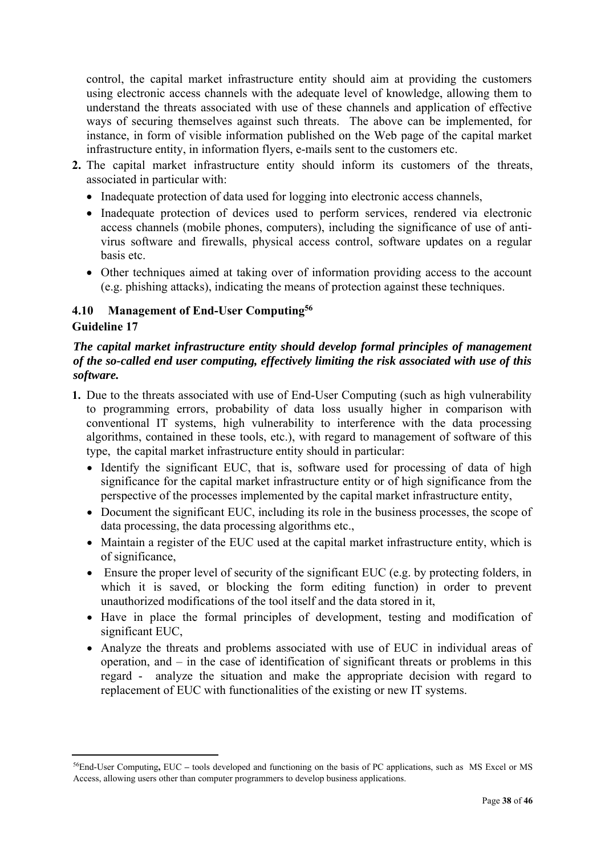control, the capital market infrastructure entity should aim at providing the customers using electronic access channels with the adequate level of knowledge, allowing them to understand the threats associated with use of these channels and application of effective ways of securing themselves against such threats. The above can be implemented, for instance, in form of visible information published on the Web page of the capital market infrastructure entity, in information flyers, e-mails sent to the customers etc.

- **2.** The capital market infrastructure entity should inform its customers of the threats, associated in particular with:
	- Inadequate protection of data used for logging into electronic access channels,
	- Inadequate protection of devices used to perform services, rendered via electronic access channels (mobile phones, computers), including the significance of use of antivirus software and firewalls, physical access control, software updates on a regular basis etc.
	- Other techniques aimed at taking over of information providing access to the account (e.g. phishing attacks), indicating the means of protection against these techniques.

# **4.10 Management of End-User Computing56**

# **Guideline 17**

# *The capital market infrastructure entity should develop formal principles of management of the so-called end user computing, effectively limiting the risk associated with use of this software.*

- **1.** Due to the threats associated with use of End-User Computing (such as high vulnerability to programming errors, probability of data loss usually higher in comparison with conventional IT systems, high vulnerability to interference with the data processing algorithms, contained in these tools, etc.), with regard to management of software of this type, the capital market infrastructure entity should in particular:
	- Identify the significant EUC, that is, software used for processing of data of high significance for the capital market infrastructure entity or of high significance from the perspective of the processes implemented by the capital market infrastructure entity,
	- Document the significant EUC, including its role in the business processes, the scope of data processing, the data processing algorithms etc.,
	- Maintain a register of the EUC used at the capital market infrastructure entity, which is of significance,
	- Ensure the proper level of security of the significant EUC (e.g. by protecting folders, in which it is saved, or blocking the form editing function) in order to prevent unauthorized modifications of the tool itself and the data stored in it,
	- Have in place the formal principles of development, testing and modification of significant EUC,
	- Analyze the threats and problems associated with use of EUC in individual areas of operation, and – in the case of identification of significant threats or problems in this regard - analyze the situation and make the appropriate decision with regard to replacement of EUC with functionalities of the existing or new IT systems.

<sup>56</sup>End-User Computing**,** EUC **–** tools developed and functioning on the basis of PC applications, such as MS Excel or MS Access, allowing users other than computer programmers to develop business applications.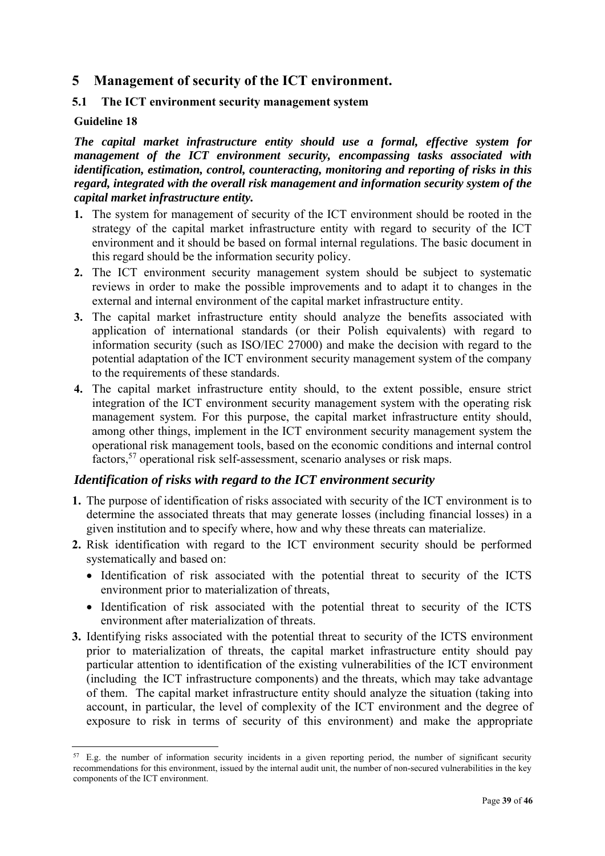# **5 Management of security of the ICT environment.**

## **5.1 The ICT environment security management system**

#### **Guideline 18**

*The capital market infrastructure entity should use a formal, effective system for management of the ICT environment security, encompassing tasks associated with identification, estimation, control, counteracting, monitoring and reporting of risks in this regard, integrated with the overall risk management and information security system of the capital market infrastructure entity.* 

- **1.** The system for management of security of the ICT environment should be rooted in the strategy of the capital market infrastructure entity with regard to security of the ICT environment and it should be based on formal internal regulations. The basic document in this regard should be the information security policy.
- **2.** The ICT environment security management system should be subject to systematic reviews in order to make the possible improvements and to adapt it to changes in the external and internal environment of the capital market infrastructure entity.
- **3.** The capital market infrastructure entity should analyze the benefits associated with application of international standards (or their Polish equivalents) with regard to information security (such as ISO/IEC 27000) and make the decision with regard to the potential adaptation of the ICT environment security management system of the company to the requirements of these standards.
- **4.** The capital market infrastructure entity should, to the extent possible, ensure strict integration of the ICT environment security management system with the operating risk management system. For this purpose, the capital market infrastructure entity should, among other things, implement in the ICT environment security management system the operational risk management tools, based on the economic conditions and internal control factors,57 operational risk self-assessment, scenario analyses or risk maps.

#### *Identification of risks with regard to the ICT environment security*

- **1.** The purpose of identification of risks associated with security of the ICT environment is to determine the associated threats that may generate losses (including financial losses) in a given institution and to specify where, how and why these threats can materialize.
- **2.** Risk identification with regard to the ICT environment security should be performed systematically and based on:
	- Identification of risk associated with the potential threat to security of the ICTS environment prior to materialization of threats,
	- Identification of risk associated with the potential threat to security of the ICTS environment after materialization of threats.
- **3.** Identifying risks associated with the potential threat to security of the ICTS environment prior to materialization of threats, the capital market infrastructure entity should pay particular attention to identification of the existing vulnerabilities of the ICT environment (including the ICT infrastructure components) and the threats, which may take advantage of them. The capital market infrastructure entity should analyze the situation (taking into account, in particular, the level of complexity of the ICT environment and the degree of exposure to risk in terms of security of this environment) and make the appropriate

<sup>&</sup>lt;sup>57</sup> E.g. the number of information security incidents in a given reporting period, the number of significant security recommendations for this environment, issued by the internal audit unit, the number of non-secured vulnerabilities in the key components of the ICT environment.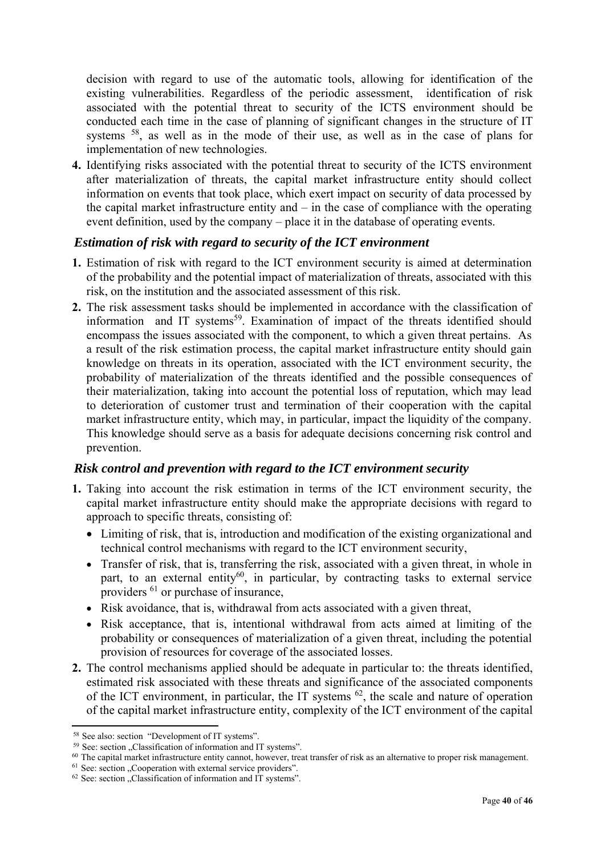decision with regard to use of the automatic tools, allowing for identification of the existing vulnerabilities. Regardless of the periodic assessment, identification of risk associated with the potential threat to security of the ICTS environment should be conducted each time in the case of planning of significant changes in the structure of IT systems <sup>58</sup>, as well as in the mode of their use, as well as in the case of plans for implementation of new technologies.

**4.** Identifying risks associated with the potential threat to security of the ICTS environment after materialization of threats, the capital market infrastructure entity should collect information on events that took place, which exert impact on security of data processed by the capital market infrastructure entity and – in the case of compliance with the operating event definition, used by the company – place it in the database of operating events.

# *Estimation of risk with regard to security of the ICT environment*

- **1.** Estimation of risk with regard to the ICT environment security is aimed at determination of the probability and the potential impact of materialization of threats, associated with this risk, on the institution and the associated assessment of this risk.
- **2.** The risk assessment tasks should be implemented in accordance with the classification of information and IT systems<sup>59</sup>. Examination of impact of the threats identified should encompass the issues associated with the component, to which a given threat pertains. As a result of the risk estimation process, the capital market infrastructure entity should gain knowledge on threats in its operation, associated with the ICT environment security, the probability of materialization of the threats identified and the possible consequences of their materialization, taking into account the potential loss of reputation, which may lead to deterioration of customer trust and termination of their cooperation with the capital market infrastructure entity, which may, in particular, impact the liquidity of the company. This knowledge should serve as a basis for adequate decisions concerning risk control and prevention.

## *Risk control and prevention with regard to the ICT environment security*

- **1.** Taking into account the risk estimation in terms of the ICT environment security, the capital market infrastructure entity should make the appropriate decisions with regard to approach to specific threats, consisting of:
	- Limiting of risk, that is, introduction and modification of the existing organizational and technical control mechanisms with regard to the ICT environment security,
	- Transfer of risk, that is, transferring the risk, associated with a given threat, in whole in part, to an external entity<sup>60</sup>, in particular, by contracting tasks to external service providers 61 or purchase of insurance,
	- Risk avoidance, that is, withdrawal from acts associated with a given threat,
	- Risk acceptance, that is, intentional withdrawal from acts aimed at limiting of the probability or consequences of materialization of a given threat, including the potential provision of resources for coverage of the associated losses.
- **2.** The control mechanisms applied should be adequate in particular to: the threats identified, estimated risk associated with these threats and significance of the associated components of the ICT environment, in particular, the IT systems  $62$ , the scale and nature of operation of the capital market infrastructure entity, complexity of the ICT environment of the capital

 58 See also: section "Development of IT systems".

 $59$  See: section  $\sqrt{3}$  Classification of information and IT systems".

<sup>&</sup>lt;sup>60</sup> The capital market infrastructure entity cannot, however, treat transfer of risk as an alternative to proper risk management.<br><sup>61</sup> See: section "Cooperation with external service providers".<br><sup>62</sup> See: section ..Class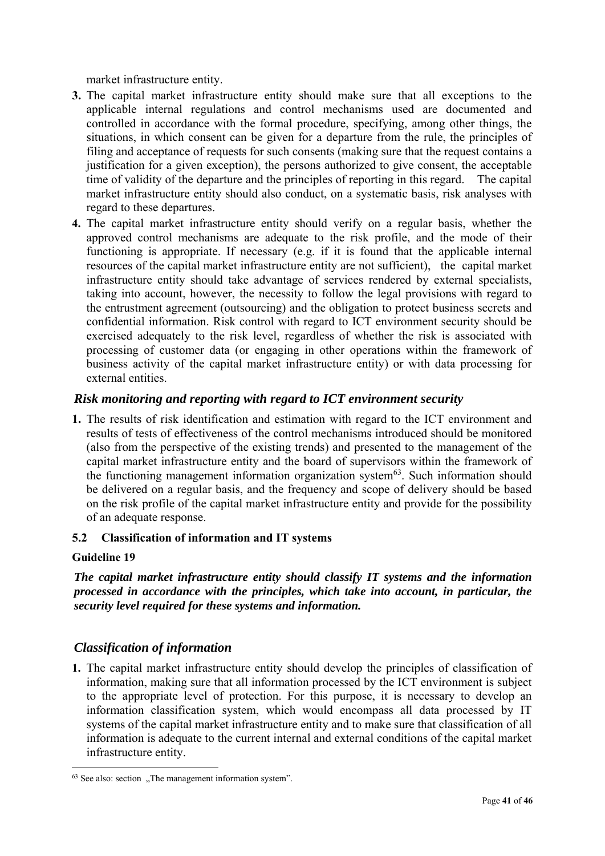market infrastructure entity.

- **3.** The capital market infrastructure entity should make sure that all exceptions to the applicable internal regulations and control mechanisms used are documented and controlled in accordance with the formal procedure, specifying, among other things, the situations, in which consent can be given for a departure from the rule, the principles of filing and acceptance of requests for such consents (making sure that the request contains a justification for a given exception), the persons authorized to give consent, the acceptable time of validity of the departure and the principles of reporting in this regard. The capital market infrastructure entity should also conduct, on a systematic basis, risk analyses with regard to these departures.
- **4.** The capital market infrastructure entity should verify on a regular basis, whether the approved control mechanisms are adequate to the risk profile, and the mode of their functioning is appropriate. If necessary (e.g. if it is found that the applicable internal resources of the capital market infrastructure entity are not sufficient), the capital market infrastructure entity should take advantage of services rendered by external specialists, taking into account, however, the necessity to follow the legal provisions with regard to the entrustment agreement (outsourcing) and the obligation to protect business secrets and confidential information. Risk control with regard to ICT environment security should be exercised adequately to the risk level, regardless of whether the risk is associated with processing of customer data (or engaging in other operations within the framework of business activity of the capital market infrastructure entity) or with data processing for external entities.

# *Risk monitoring and reporting with regard to ICT environment security*

**1.** The results of risk identification and estimation with regard to the ICT environment and results of tests of effectiveness of the control mechanisms introduced should be monitored (also from the perspective of the existing trends) and presented to the management of the capital market infrastructure entity and the board of supervisors within the framework of the functioning management information organization system $63$ . Such information should be delivered on a regular basis, and the frequency and scope of delivery should be based on the risk profile of the capital market infrastructure entity and provide for the possibility of an adequate response.

## **5.2 Classification of information and IT systems**

#### **Guideline 19**

*The capital market infrastructure entity should classify IT systems and the information processed in accordance with the principles, which take into account, in particular, the security level required for these systems and information.* 

# *Classification of information*

**1.** The capital market infrastructure entity should develop the principles of classification of information, making sure that all information processed by the ICT environment is subject to the appropriate level of protection. For this purpose, it is necessary to develop an information classification system, which would encompass all data processed by IT systems of the capital market infrastructure entity and to make sure that classification of all information is adequate to the current internal and external conditions of the capital market infrastructure entity.

  $63$  See also: section ... The management information system".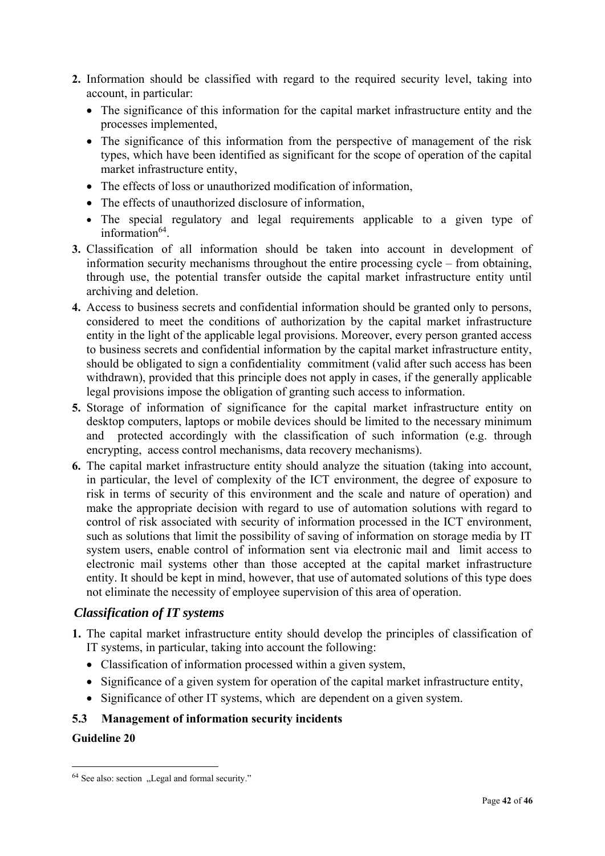- **2.** Information should be classified with regard to the required security level, taking into account, in particular:
	- The significance of this information for the capital market infrastructure entity and the processes implemented,
	- The significance of this information from the perspective of management of the risk types, which have been identified as significant for the scope of operation of the capital market infrastructure entity,
	- The effects of loss or unauthorized modification of information,
	- The effects of unauthorized disclosure of information,
	- The special regulatory and legal requirements applicable to a given type of information $64$ .
- **3.** Classification of all information should be taken into account in development of information security mechanisms throughout the entire processing cycle – from obtaining, through use, the potential transfer outside the capital market infrastructure entity until archiving and deletion.
- **4.** Access to business secrets and confidential information should be granted only to persons, considered to meet the conditions of authorization by the capital market infrastructure entity in the light of the applicable legal provisions. Moreover, every person granted access to business secrets and confidential information by the capital market infrastructure entity, should be obligated to sign a confidentiality commitment (valid after such access has been withdrawn), provided that this principle does not apply in cases, if the generally applicable legal provisions impose the obligation of granting such access to information.
- **5.** Storage of information of significance for the capital market infrastructure entity on desktop computers, laptops or mobile devices should be limited to the necessary minimum and protected accordingly with the classification of such information (e.g. through encrypting, access control mechanisms, data recovery mechanisms).
- **6.** The capital market infrastructure entity should analyze the situation (taking into account, in particular, the level of complexity of the ICT environment, the degree of exposure to risk in terms of security of this environment and the scale and nature of operation) and make the appropriate decision with regard to use of automation solutions with regard to control of risk associated with security of information processed in the ICT environment, such as solutions that limit the possibility of saving of information on storage media by IT system users, enable control of information sent via electronic mail and limit access to electronic mail systems other than those accepted at the capital market infrastructure entity. It should be kept in mind, however, that use of automated solutions of this type does not eliminate the necessity of employee supervision of this area of operation.

# *Classification of IT systems*

- **1.** The capital market infrastructure entity should develop the principles of classification of IT systems, in particular, taking into account the following:
	- Classification of information processed within a given system,
	- Significance of a given system for operation of the capital market infrastructure entity,
	- Significance of other IT systems, which are dependent on a given system.

# **5.3 Management of information security incidents**

## **Guideline 20**

 $64$  See also: section ... Legal and formal security."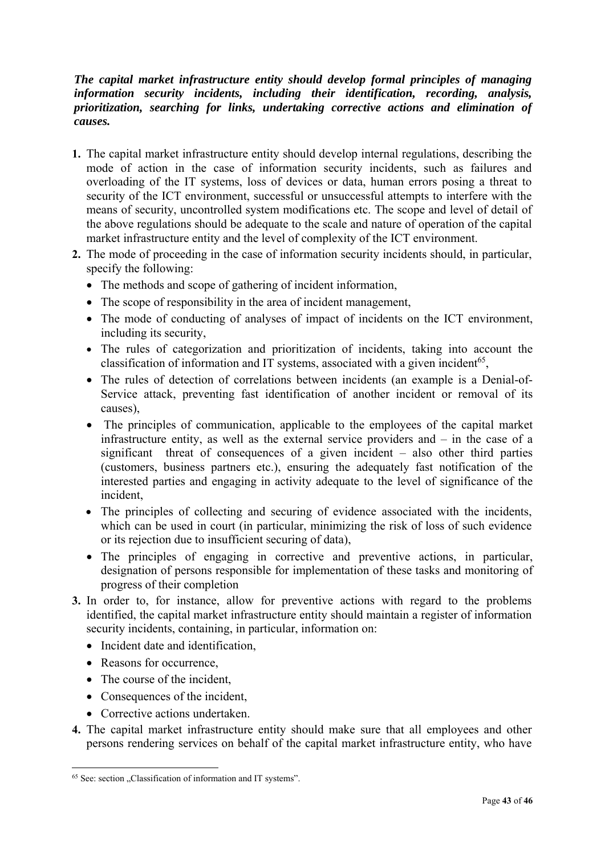## *The capital market infrastructure entity should develop formal principles of managing information security incidents, including their identification, recording, analysis, prioritization, searching for links, undertaking corrective actions and elimination of causes.*

- **1.** The capital market infrastructure entity should develop internal regulations, describing the mode of action in the case of information security incidents, such as failures and overloading of the IT systems, loss of devices or data, human errors posing a threat to security of the ICT environment, successful or unsuccessful attempts to interfere with the means of security, uncontrolled system modifications etc. The scope and level of detail of the above regulations should be adequate to the scale and nature of operation of the capital market infrastructure entity and the level of complexity of the ICT environment.
- **2.** The mode of proceeding in the case of information security incidents should, in particular, specify the following:
	- The methods and scope of gathering of incident information.
	- The scope of responsibility in the area of incident management,
	- The mode of conducting of analyses of impact of incidents on the ICT environment, including its security,
	- The rules of categorization and prioritization of incidents, taking into account the classification of information and IT systems, associated with a given incident<sup>65</sup>,
	- The rules of detection of correlations between incidents (an example is a Denial-of-Service attack, preventing fast identification of another incident or removal of its causes),
	- The principles of communication, applicable to the employees of the capital market infrastructure entity, as well as the external service providers and – in the case of a significant threat of consequences of a given incident – also other third parties (customers, business partners etc.), ensuring the adequately fast notification of the interested parties and engaging in activity adequate to the level of significance of the incident,
	- The principles of collecting and securing of evidence associated with the incidents, which can be used in court (in particular, minimizing the risk of loss of such evidence or its rejection due to insufficient securing of data),
	- The principles of engaging in corrective and preventive actions, in particular, designation of persons responsible for implementation of these tasks and monitoring of progress of their completion
- **3.** In order to, for instance, allow for preventive actions with regard to the problems identified, the capital market infrastructure entity should maintain a register of information security incidents, containing, in particular, information on:
	- Incident date and identification.
	- Reasons for occurrence,
	- The course of the incident,
	- Consequences of the incident.
	- Corrective actions undertaken.
- **4.** The capital market infrastructure entity should make sure that all employees and other persons rendering services on behalf of the capital market infrastructure entity, who have

 <sup>65</sup> See: section "Classification of information and IT systems".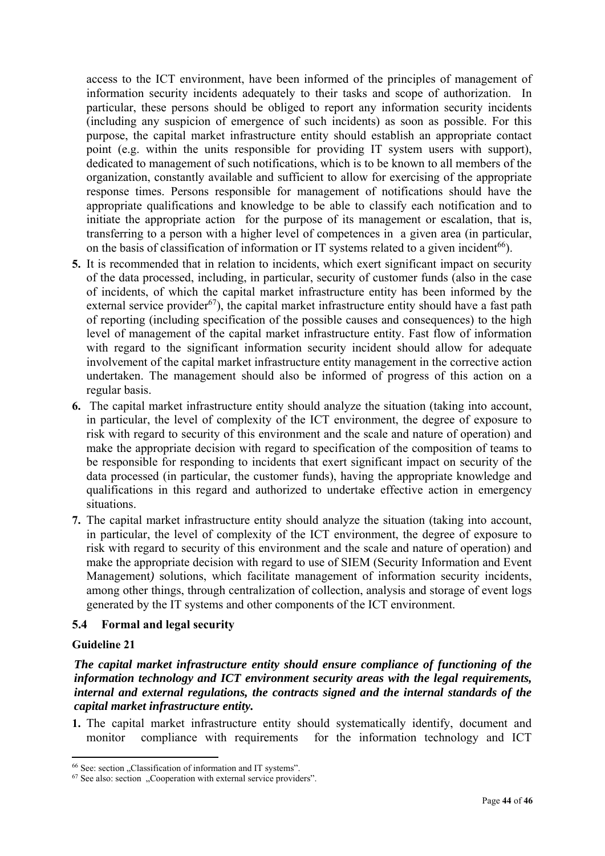access to the ICT environment, have been informed of the principles of management of information security incidents adequately to their tasks and scope of authorization. In particular, these persons should be obliged to report any information security incidents (including any suspicion of emergence of such incidents) as soon as possible. For this purpose, the capital market infrastructure entity should establish an appropriate contact point (e.g. within the units responsible for providing IT system users with support), dedicated to management of such notifications, which is to be known to all members of the organization, constantly available and sufficient to allow for exercising of the appropriate response times. Persons responsible for management of notifications should have the appropriate qualifications and knowledge to be able to classify each notification and to initiate the appropriate action for the purpose of its management or escalation, that is, transferring to a person with a higher level of competences in a given area (in particular, on the basis of classification of information or IT systems related to a given incident<sup>66</sup>).

- **5.** It is recommended that in relation to incidents, which exert significant impact on security of the data processed, including, in particular, security of customer funds (also in the case of incidents, of which the capital market infrastructure entity has been informed by the external service provider<sup>67</sup>), the capital market infrastructure entity should have a fast path of reporting (including specification of the possible causes and consequences) to the high level of management of the capital market infrastructure entity. Fast flow of information with regard to the significant information security incident should allow for adequate involvement of the capital market infrastructure entity management in the corrective action undertaken. The management should also be informed of progress of this action on a regular basis.
- **6.** The capital market infrastructure entity should analyze the situation (taking into account, in particular, the level of complexity of the ICT environment, the degree of exposure to risk with regard to security of this environment and the scale and nature of operation) and make the appropriate decision with regard to specification of the composition of teams to be responsible for responding to incidents that exert significant impact on security of the data processed (in particular, the customer funds), having the appropriate knowledge and qualifications in this regard and authorized to undertake effective action in emergency situations.
- **7.** The capital market infrastructure entity should analyze the situation (taking into account, in particular, the level of complexity of the ICT environment, the degree of exposure to risk with regard to security of this environment and the scale and nature of operation) and make the appropriate decision with regard to use of SIEM (Security Information and Event Management*)* solutions, which facilitate management of information security incidents, among other things, through centralization of collection, analysis and storage of event logs generated by the IT systems and other components of the ICT environment.

#### **5.4 Formal and legal security**

#### **Guideline 21**

## *The capital market infrastructure entity should ensure compliance of functioning of the information technology and ICT environment security areas with the legal requirements, internal and external regulations, the contracts signed and the internal standards of the capital market infrastructure entity.*

**1.** The capital market infrastructure entity should systematically identify, document and monitor compliance with requirements for the information technology and ICT

<sup>&</sup>lt;sup>66</sup> See: section  $\Omega$ Classification of information and IT systems".<br><sup>67</sup> See also: section  $\Omega$  Cooperation with external service providers".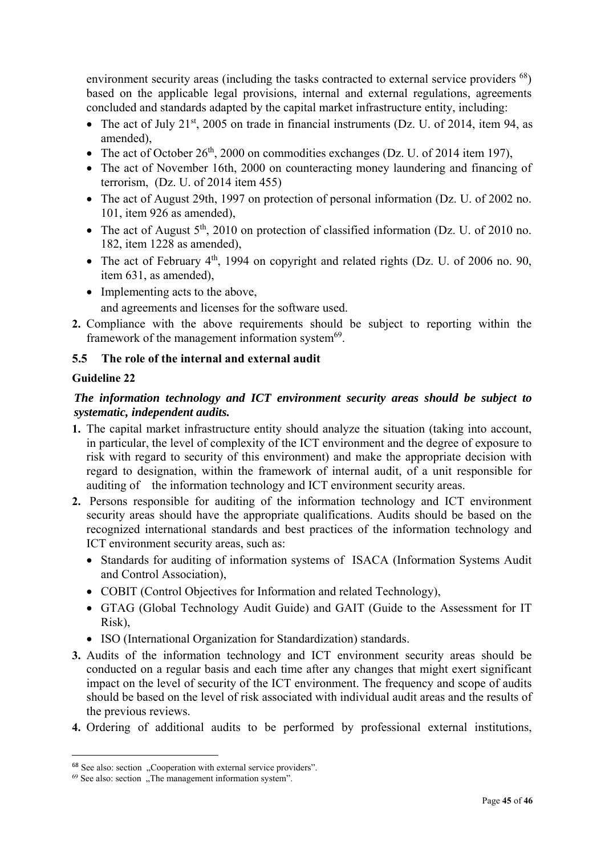environment security areas (including the tasks contracted to external service providers <sup>68</sup>) based on the applicable legal provisions, internal and external regulations, agreements concluded and standards adapted by the capital market infrastructure entity, including:

- The act of July  $21^{st}$ , 2005 on trade in financial instruments (Dz. U. of 2014, item 94, as amended),
- The act of October  $26<sup>th</sup>$ , 2000 on commodities exchanges (Dz. U. of 2014 item 197),
- The act of November 16th, 2000 on counteracting money laundering and financing of terrorism, (Dz. U. of 2014 item 455)
- The act of August 29th, 1997 on protection of personal information (Dz. U. of 2002 no. 101, item 926 as amended),
- The act of August  $5<sup>th</sup>$ , 2010 on protection of classified information (Dz. U. of 2010 no. 182, item 1228 as amended),
- $\bullet$  The act of February 4<sup>th</sup>, 1994 on copyright and related rights (Dz. U. of 2006 no. 90, item 631, as amended),
- Implementing acts to the above, and agreements and licenses for the software used.
- **2.** Compliance with the above requirements should be subject to reporting within the framework of the management information system $^{69}$ .

# **5.5 The role of the internal and external audit**

# **Guideline 22**

# *The information technology and ICT environment security areas should be subject to systematic, independent audits.*

- **1.** The capital market infrastructure entity should analyze the situation (taking into account, in particular, the level of complexity of the ICT environment and the degree of exposure to risk with regard to security of this environment) and make the appropriate decision with regard to designation, within the framework of internal audit, of a unit responsible for auditing of the information technology and ICT environment security areas.
- **2.** Persons responsible for auditing of the information technology and ICT environment security areas should have the appropriate qualifications. Audits should be based on the recognized international standards and best practices of the information technology and ICT environment security areas, such as:
	- Standards for auditing of information systems of ISACA (Information Systems Audit and Control Association),
	- COBIT (Control Objectives for Information and related Technology),
	- GTAG (Global Technology Audit Guide) and GAIT (Guide to the Assessment for IT Risk),
	- ISO (International Organization for Standardization) standards.
- **3.** Audits of the information technology and ICT environment security areas should be conducted on a regular basis and each time after any changes that might exert significant impact on the level of security of the ICT environment. The frequency and scope of audits should be based on the level of risk associated with individual audit areas and the results of the previous reviews.
- **4.** Ordering of additional audits to be performed by professional external institutions,

<sup>&</sup>lt;sup>68</sup> See also: section "Cooperation with external service providers".

<sup>&</sup>lt;sup>69</sup> See also: section "The management information system".